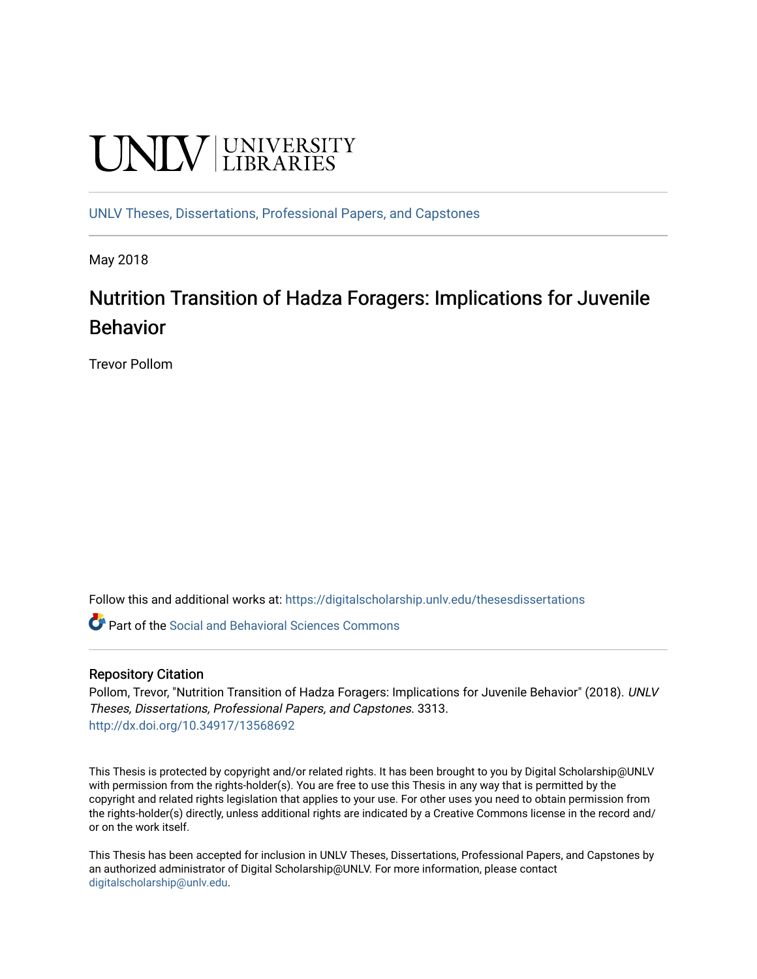# UNIV UNIVERSITY

[UNLV Theses, Dissertations, Professional Papers, and Capstones](https://digitalscholarship.unlv.edu/thesesdissertations)

May 2018

# Nutrition Transition of Hadza Foragers: Implications for Juvenile Behavior

Trevor Pollom

Follow this and additional works at: [https://digitalscholarship.unlv.edu/thesesdissertations](https://digitalscholarship.unlv.edu/thesesdissertations?utm_source=digitalscholarship.unlv.edu%2Fthesesdissertations%2F3313&utm_medium=PDF&utm_campaign=PDFCoverPages)

Part of the [Social and Behavioral Sciences Commons](http://network.bepress.com/hgg/discipline/316?utm_source=digitalscholarship.unlv.edu%2Fthesesdissertations%2F3313&utm_medium=PDF&utm_campaign=PDFCoverPages) 

#### Repository Citation

Pollom, Trevor, "Nutrition Transition of Hadza Foragers: Implications for Juvenile Behavior" (2018). UNLV Theses, Dissertations, Professional Papers, and Capstones. 3313. <http://dx.doi.org/10.34917/13568692>

This Thesis is protected by copyright and/or related rights. It has been brought to you by Digital Scholarship@UNLV with permission from the rights-holder(s). You are free to use this Thesis in any way that is permitted by the copyright and related rights legislation that applies to your use. For other uses you need to obtain permission from the rights-holder(s) directly, unless additional rights are indicated by a Creative Commons license in the record and/ or on the work itself.

This Thesis has been accepted for inclusion in UNLV Theses, Dissertations, Professional Papers, and Capstones by an authorized administrator of Digital Scholarship@UNLV. For more information, please contact [digitalscholarship@unlv.edu](mailto:digitalscholarship@unlv.edu).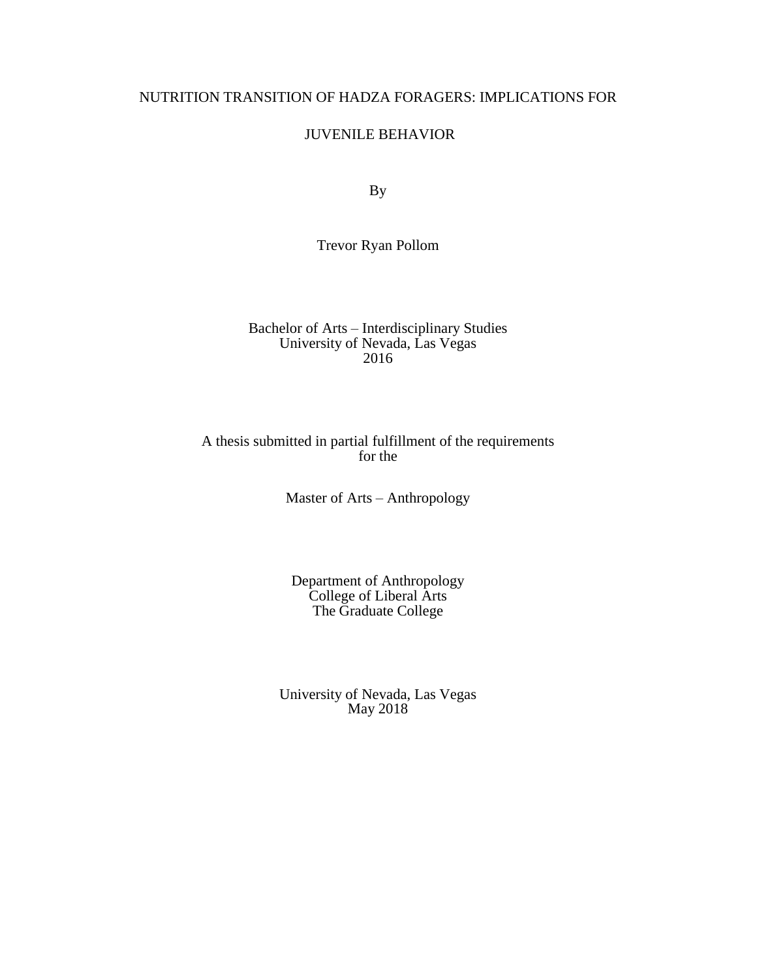# NUTRITION TRANSITION OF HADZA FORAGERS: IMPLICATIONS FOR

## JUVENILE BEHAVIOR

By

Trevor Ryan Pollom

Bachelor of Arts – Interdisciplinary Studies University of Nevada, Las Vegas 2016

## A thesis submitted in partial fulfillment of the requirements for the

Master of Arts – Anthropology

Department of Anthropology College of Liberal Arts The Graduate College

University of Nevada, Las Vegas May 2018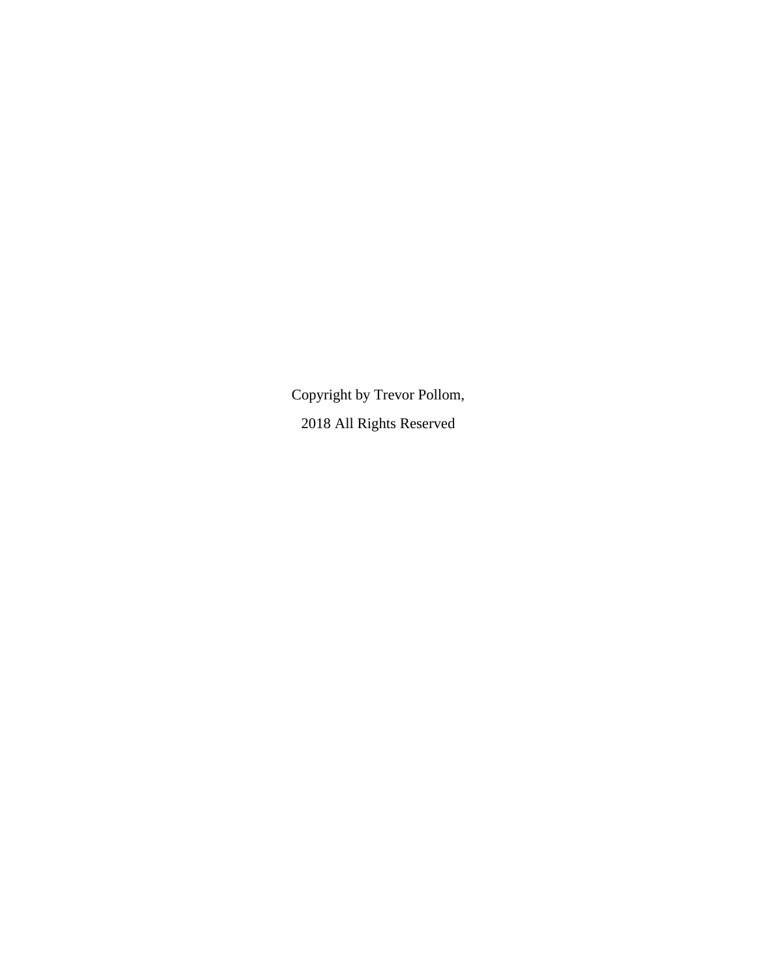Copyright by Trevor Pollom, 2018 All Rights Reserved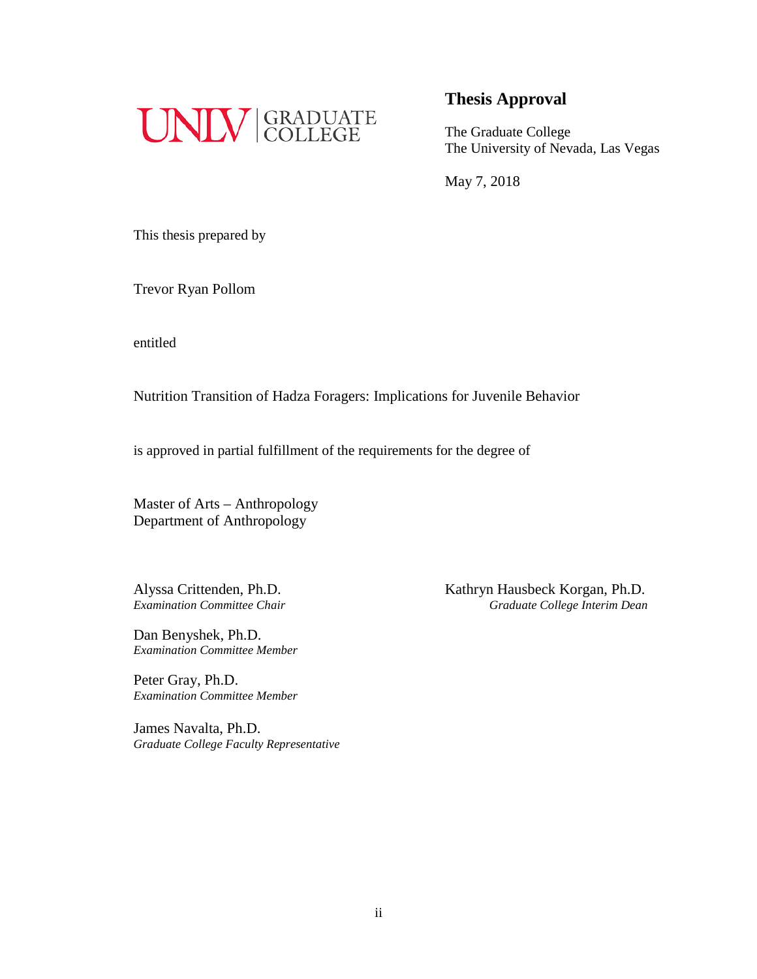

# **Thesis Approval**

The Graduate College The University of Nevada, Las Vegas

May 7, 2018

This thesis prepared by

Trevor Ryan Pollom

entitled

Nutrition Transition of Hadza Foragers: Implications for Juvenile Behavior

is approved in partial fulfillment of the requirements for the degree of

Master of Arts – Anthropology Department of Anthropology

Dan Benyshek, Ph.D. *Examination Committee Member*

Peter Gray, Ph.D. *Examination Committee Member*

James Navalta, Ph.D. *Graduate College Faculty Representative*

Alyssa Crittenden, Ph.D.<br> *Examination Committee Chair*<br> *Craduate College Interim Dean Examination Committee Chair Graduate College Interim Dean*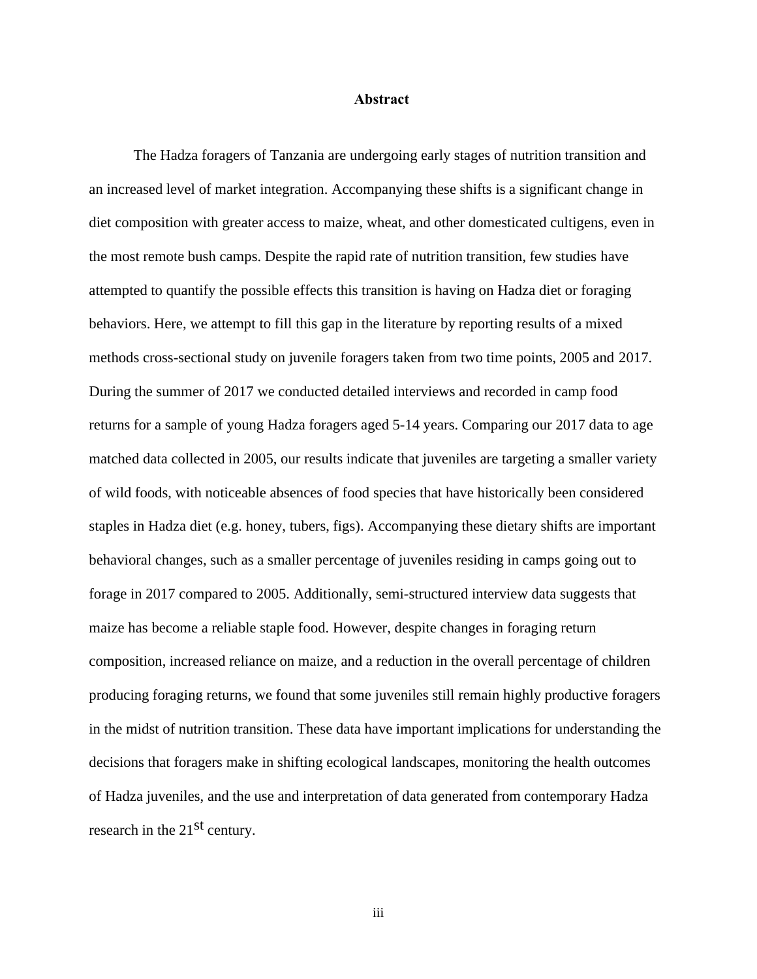#### **Abstract**

The Hadza foragers of Tanzania are undergoing early stages of nutrition transition and an increased level of market integration. Accompanying these shifts is a significant change in diet composition with greater access to maize, wheat, and other domesticated cultigens, even in the most remote bush camps. Despite the rapid rate of nutrition transition, few studies have attempted to quantify the possible effects this transition is having on Hadza diet or foraging behaviors. Here, we attempt to fill this gap in the literature by reporting results of a mixed methods cross-sectional study on juvenile foragers taken from two time points, 2005 and 2017. During the summer of 2017 we conducted detailed interviews and recorded in camp food returns for a sample of young Hadza foragers aged 5-14 years. Comparing our 2017 data to age matched data collected in 2005, our results indicate that juveniles are targeting a smaller variety of wild foods, with noticeable absences of food species that have historically been considered staples in Hadza diet (e.g. honey, tubers, figs). Accompanying these dietary shifts are important behavioral changes, such as a smaller percentage of juveniles residing in camps going out to forage in 2017 compared to 2005. Additionally, semi-structured interview data suggests that maize has become a reliable staple food. However, despite changes in foraging return composition, increased reliance on maize, and a reduction in the overall percentage of children producing foraging returns, we found that some juveniles still remain highly productive foragers in the midst of nutrition transition. These data have important implications for understanding the decisions that foragers make in shifting ecological landscapes, monitoring the health outcomes of Hadza juveniles, and the use and interpretation of data generated from contemporary Hadza research in the 21<sup>st</sup> century.

iii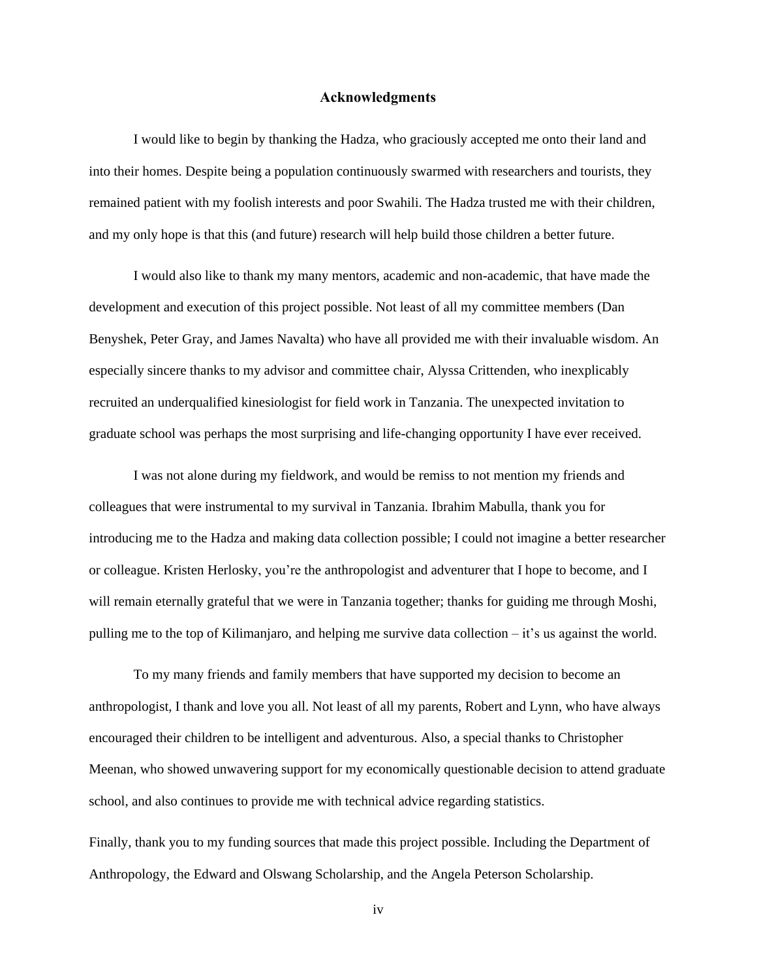#### **Acknowledgments**

I would like to begin by thanking the Hadza, who graciously accepted me onto their land and into their homes. Despite being a population continuously swarmed with researchers and tourists, they remained patient with my foolish interests and poor Swahili. The Hadza trusted me with their children, and my only hope is that this (and future) research will help build those children a better future.

I would also like to thank my many mentors, academic and non-academic, that have made the development and execution of this project possible. Not least of all my committee members (Dan Benyshek, Peter Gray, and James Navalta) who have all provided me with their invaluable wisdom. An especially sincere thanks to my advisor and committee chair, Alyssa Crittenden, who inexplicably recruited an underqualified kinesiologist for field work in Tanzania. The unexpected invitation to graduate school was perhaps the most surprising and life-changing opportunity I have ever received.

I was not alone during my fieldwork, and would be remiss to not mention my friends and colleagues that were instrumental to my survival in Tanzania. Ibrahim Mabulla, thank you for introducing me to the Hadza and making data collection possible; I could not imagine a better researcher or colleague. Kristen Herlosky, you're the anthropologist and adventurer that I hope to become, and I will remain eternally grateful that we were in Tanzania together; thanks for guiding me through Moshi, pulling me to the top of Kilimanjaro, and helping me survive data collection – it's us against the world.

To my many friends and family members that have supported my decision to become an anthropologist, I thank and love you all. Not least of all my parents, Robert and Lynn, who have always encouraged their children to be intelligent and adventurous. Also, a special thanks to Christopher Meenan, who showed unwavering support for my economically questionable decision to attend graduate school, and also continues to provide me with technical advice regarding statistics.

Finally, thank you to my funding sources that made this project possible. Including the Department of Anthropology, the Edward and Olswang Scholarship, and the Angela Peterson Scholarship.

iv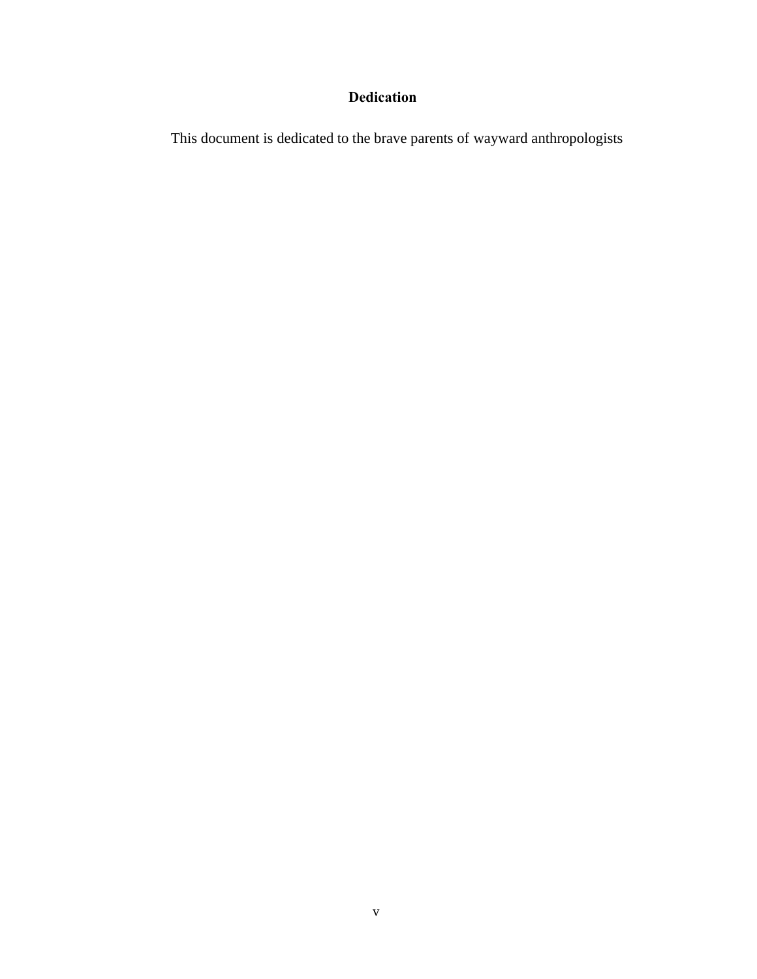# **Dedication**

This document is dedicated to the brave parents of wayward anthropologists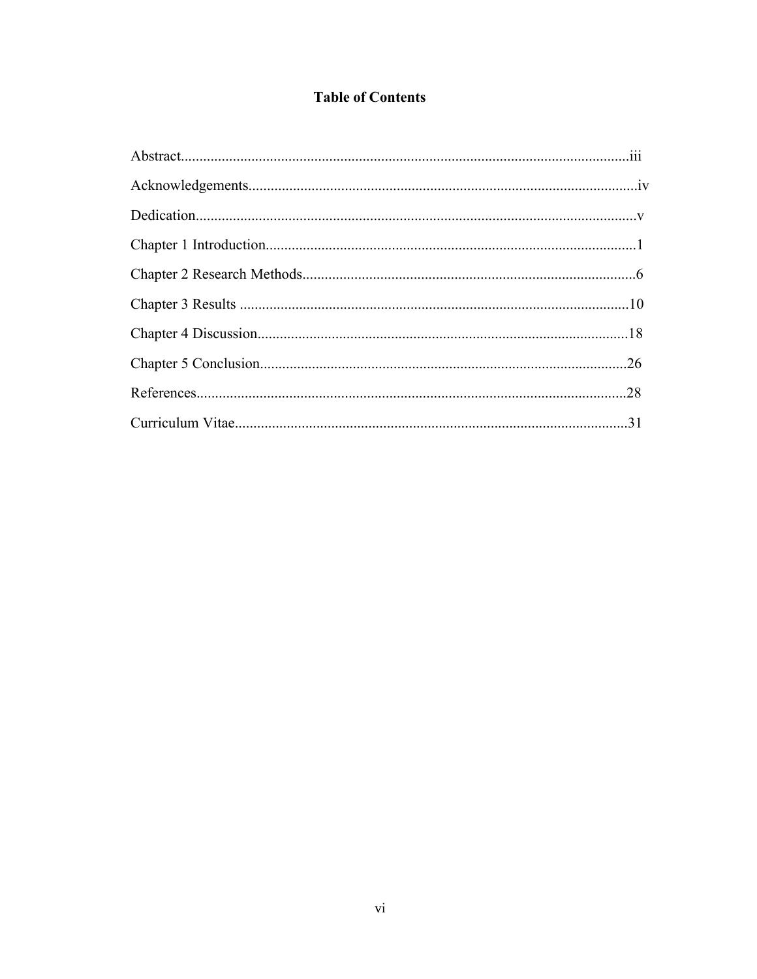# **Table of Contents**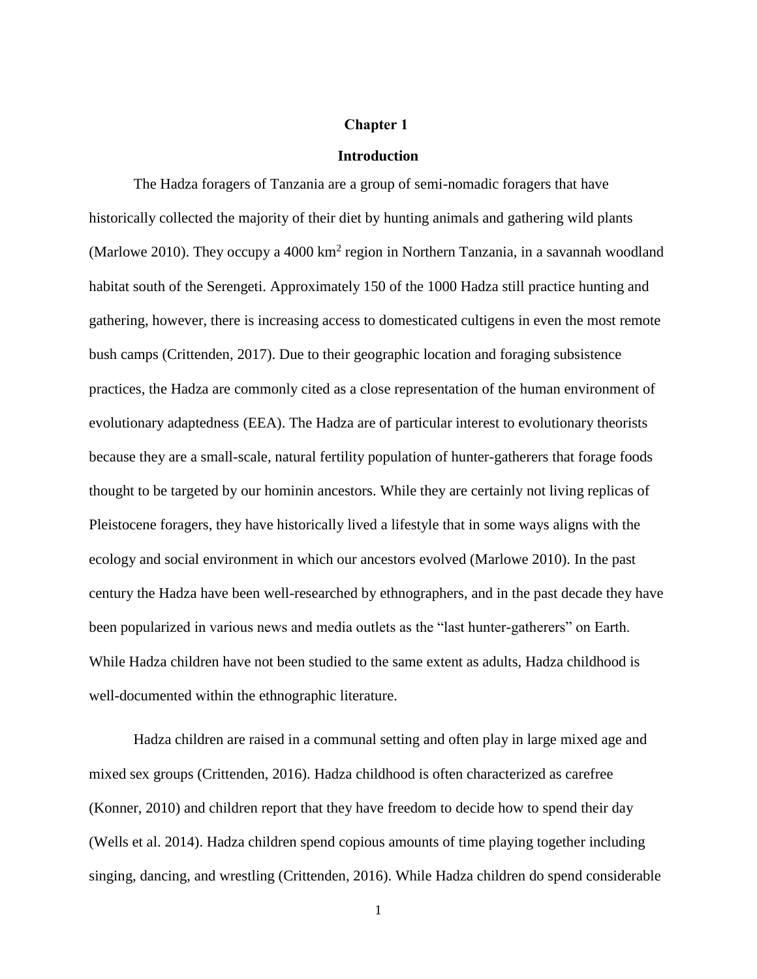#### **Chapter 1**

#### **Introduction**

The Hadza foragers of Tanzania are a group of semi-nomadic foragers that have historically collected the majority of their diet by hunting animals and gathering wild plants (Marlowe 2010). They occupy a 4000  $km^2$  region in Northern Tanzania, in a savannah woodland habitat south of the Serengeti. Approximately 150 of the 1000 Hadza still practice hunting and gathering, however, there is increasing access to domesticated cultigens in even the most remote bush camps (Crittenden, 2017). Due to their geographic location and foraging subsistence practices, the Hadza are commonly cited as a close representation of the human environment of evolutionary adaptedness (EEA). The Hadza are of particular interest to evolutionary theorists because they are a small-scale, natural fertility population of hunter-gatherers that forage foods thought to be targeted by our hominin ancestors. While they are certainly not living replicas of Pleistocene foragers, they have historically lived a lifestyle that in some ways aligns with the ecology and social environment in which our ancestors evolved (Marlowe 2010). In the past century the Hadza have been well-researched by ethnographers, and in the past decade they have been popularized in various news and media outlets as the "last hunter-gatherers" on Earth. While Hadza children have not been studied to the same extent as adults, Hadza childhood is well-documented within the ethnographic literature.

Hadza children are raised in a communal setting and often play in large mixed age and mixed sex groups (Crittenden, 2016). Hadza childhood is often characterized as carefree (Konner, 2010) and children report that they have freedom to decide how to spend their day (Wells et al. 2014). Hadza children spend copious amounts of time playing together including singing, dancing, and wrestling (Crittenden, 2016). While Hadza children do spend considerable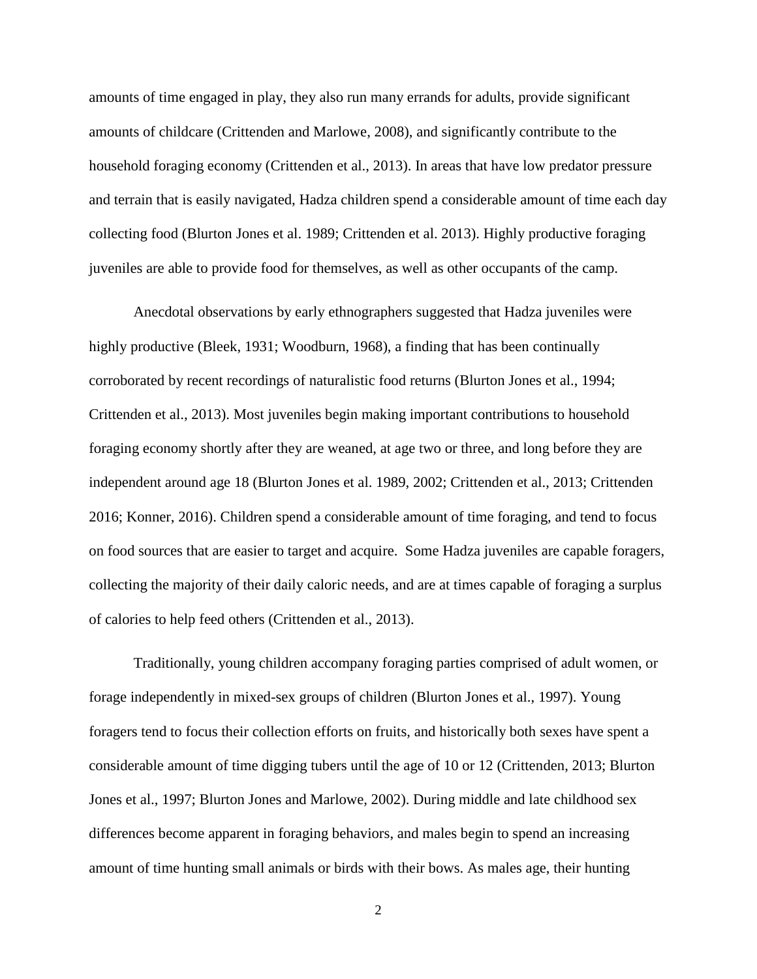amounts of time engaged in play, they also run many errands for adults, provide significant amounts of childcare (Crittenden and Marlowe, 2008), and significantly contribute to the household foraging economy (Crittenden et al., 2013). In areas that have low predator pressure and terrain that is easily navigated, Hadza children spend a considerable amount of time each day collecting food (Blurton Jones et al. 1989; Crittenden et al. 2013). Highly productive foraging juveniles are able to provide food for themselves, as well as other occupants of the camp.

Anecdotal observations by early ethnographers suggested that Hadza juveniles were highly productive (Bleek, 1931; Woodburn, 1968), a finding that has been continually corroborated by recent recordings of naturalistic food returns (Blurton Jones et al., 1994; Crittenden et al., 2013). Most juveniles begin making important contributions to household foraging economy shortly after they are weaned, at age two or three, and long before they are independent around age 18 (Blurton Jones et al. 1989, 2002; Crittenden et al., 2013; Crittenden 2016; Konner, 2016). Children spend a considerable amount of time foraging, and tend to focus on food sources that are easier to target and acquire. Some Hadza juveniles are capable foragers, collecting the majority of their daily caloric needs, and are at times capable of foraging a surplus of calories to help feed others (Crittenden et al., 2013).

Traditionally, young children accompany foraging parties comprised of adult women, or forage independently in mixed-sex groups of children (Blurton Jones et al., 1997). Young foragers tend to focus their collection efforts on fruits, and historically both sexes have spent a considerable amount of time digging tubers until the age of 10 or 12 (Crittenden, 2013; Blurton Jones et al., 1997; Blurton Jones and Marlowe, 2002). During middle and late childhood sex differences become apparent in foraging behaviors, and males begin to spend an increasing amount of time hunting small animals or birds with their bows. As males age, their hunting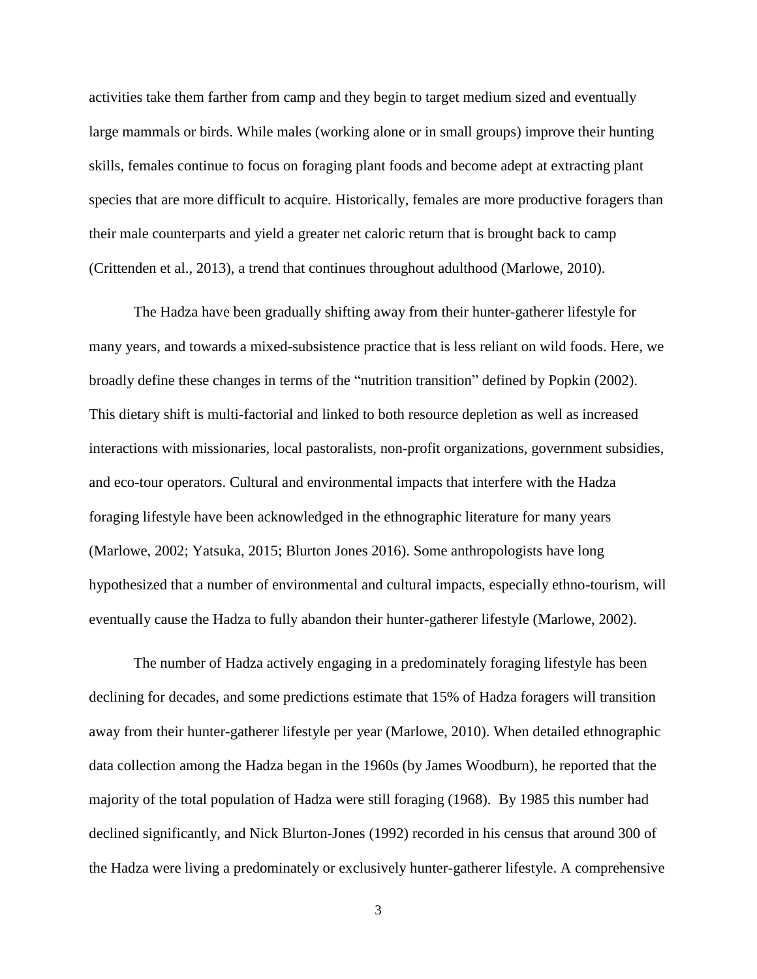activities take them farther from camp and they begin to target medium sized and eventually large mammals or birds. While males (working alone or in small groups) improve their hunting skills, females continue to focus on foraging plant foods and become adept at extracting plant species that are more difficult to acquire. Historically, females are more productive foragers than their male counterparts and yield a greater net caloric return that is brought back to camp (Crittenden et al., 2013), a trend that continues throughout adulthood (Marlowe, 2010).

The Hadza have been gradually shifting away from their hunter-gatherer lifestyle for many years, and towards a mixed-subsistence practice that is less reliant on wild foods. Here, we broadly define these changes in terms of the "nutrition transition" defined by Popkin (2002). This dietary shift is multi-factorial and linked to both resource depletion as well as increased interactions with missionaries, local pastoralists, non-profit organizations, government subsidies, and eco-tour operators. Cultural and environmental impacts that interfere with the Hadza foraging lifestyle have been acknowledged in the ethnographic literature for many years (Marlowe, 2002; Yatsuka, 2015; Blurton Jones 2016). Some anthropologists have long hypothesized that a number of environmental and cultural impacts, especially ethno-tourism, will eventually cause the Hadza to fully abandon their hunter-gatherer lifestyle (Marlowe, 2002).

The number of Hadza actively engaging in a predominately foraging lifestyle has been declining for decades, and some predictions estimate that 15% of Hadza foragers will transition away from their hunter-gatherer lifestyle per year (Marlowe, 2010). When detailed ethnographic data collection among the Hadza began in the 1960s (by James Woodburn), he reported that the majority of the total population of Hadza were still foraging (1968). By 1985 this number had declined significantly, and Nick Blurton-Jones (1992) recorded in his census that around 300 of the Hadza were living a predominately or exclusively hunter-gatherer lifestyle. A comprehensive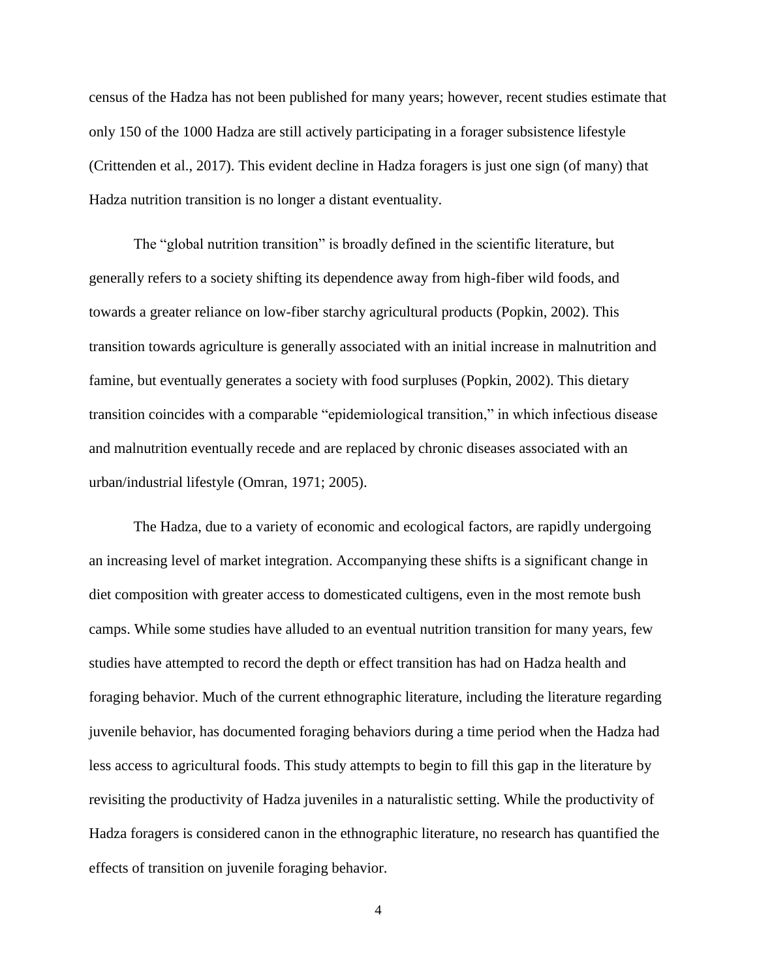census of the Hadza has not been published for many years; however, recent studies estimate that only 150 of the 1000 Hadza are still actively participating in a forager subsistence lifestyle (Crittenden et al., 2017). This evident decline in Hadza foragers is just one sign (of many) that Hadza nutrition transition is no longer a distant eventuality.

The "global nutrition transition" is broadly defined in the scientific literature, but generally refers to a society shifting its dependence away from high-fiber wild foods, and towards a greater reliance on low-fiber starchy agricultural products (Popkin, 2002). This transition towards agriculture is generally associated with an initial increase in malnutrition and famine, but eventually generates a society with food surpluses (Popkin, 2002). This dietary transition coincides with a comparable "epidemiological transition," in which infectious disease and malnutrition eventually recede and are replaced by chronic diseases associated with an urban/industrial lifestyle (Omran, 1971; 2005).

The Hadza, due to a variety of economic and ecological factors, are rapidly undergoing an increasing level of market integration. Accompanying these shifts is a significant change in diet composition with greater access to domesticated cultigens, even in the most remote bush camps. While some studies have alluded to an eventual nutrition transition for many years, few studies have attempted to record the depth or effect transition has had on Hadza health and foraging behavior. Much of the current ethnographic literature, including the literature regarding juvenile behavior, has documented foraging behaviors during a time period when the Hadza had less access to agricultural foods. This study attempts to begin to fill this gap in the literature by revisiting the productivity of Hadza juveniles in a naturalistic setting. While the productivity of Hadza foragers is considered canon in the ethnographic literature, no research has quantified the effects of transition on juvenile foraging behavior.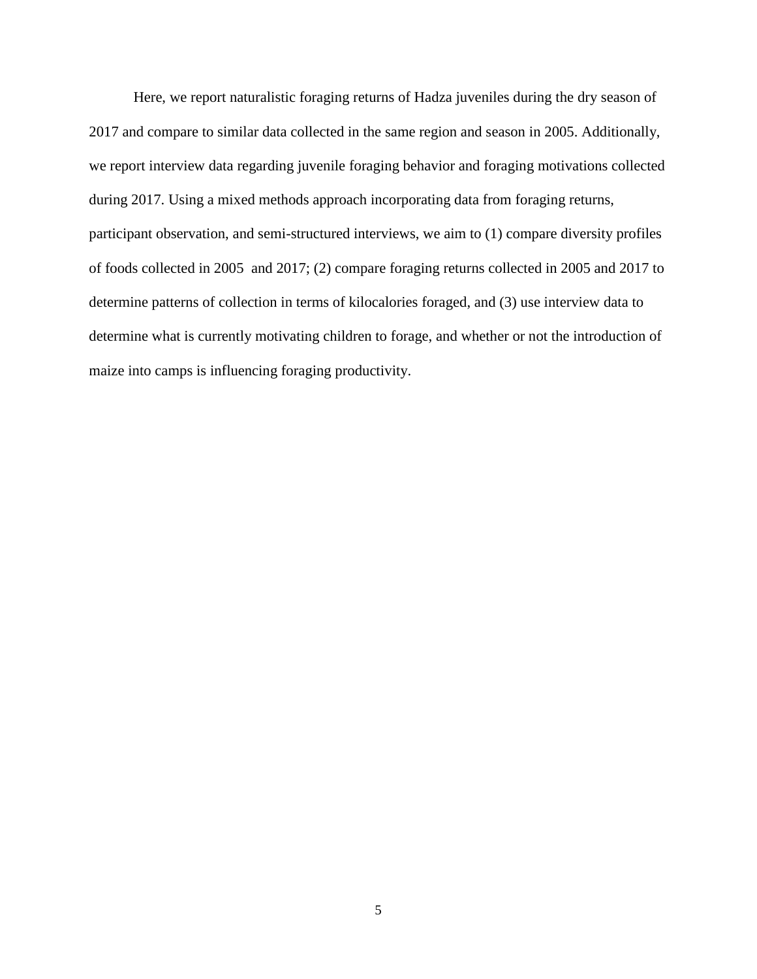Here, we report naturalistic foraging returns of Hadza juveniles during the dry season of 2017 and compare to similar data collected in the same region and season in 2005. Additionally, we report interview data regarding juvenile foraging behavior and foraging motivations collected during 2017. Using a mixed methods approach incorporating data from foraging returns, participant observation, and semi-structured interviews, we aim to (1) compare diversity profiles of foods collected in 2005 and 2017; (2) compare foraging returns collected in 2005 and 2017 to determine patterns of collection in terms of kilocalories foraged, and (3) use interview data to determine what is currently motivating children to forage, and whether or not the introduction of maize into camps is influencing foraging productivity.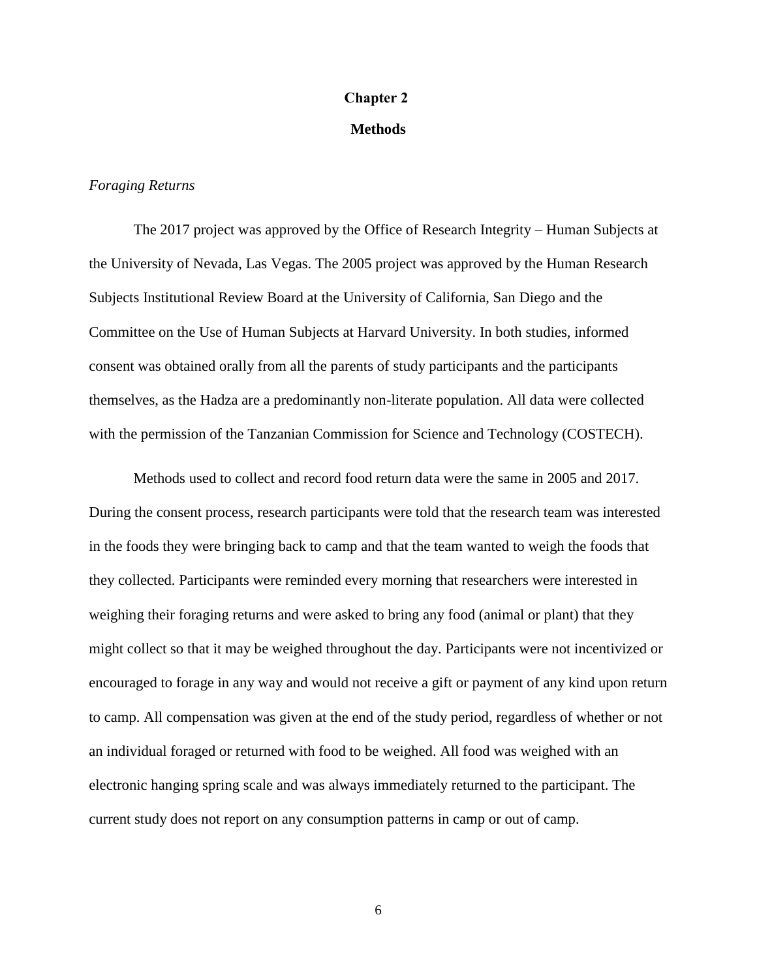# **Chapter 2**

#### **Methods**

#### *Foraging Returns*

The 2017 project was approved by the Office of Research Integrity – Human Subjects at the University of Nevada, Las Vegas. The 2005 project was approved by the Human Research Subjects Institutional Review Board at the University of California, San Diego and the Committee on the Use of Human Subjects at Harvard University. In both studies, informed consent was obtained orally from all the parents of study participants and the participants themselves, as the Hadza are a predominantly non-literate population. All data were collected with the permission of the Tanzanian Commission for Science and Technology (COSTECH).

Methods used to collect and record food return data were the same in 2005 and 2017. During the consent process, research participants were told that the research team was interested in the foods they were bringing back to camp and that the team wanted to weigh the foods that they collected. Participants were reminded every morning that researchers were interested in weighing their foraging returns and were asked to bring any food (animal or plant) that they might collect so that it may be weighed throughout the day. Participants were not incentivized or encouraged to forage in any way and would not receive a gift or payment of any kind upon return to camp. All compensation was given at the end of the study period, regardless of whether or not an individual foraged or returned with food to be weighed. All food was weighed with an electronic hanging spring scale and was always immediately returned to the participant. The current study does not report on any consumption patterns in camp or out of camp.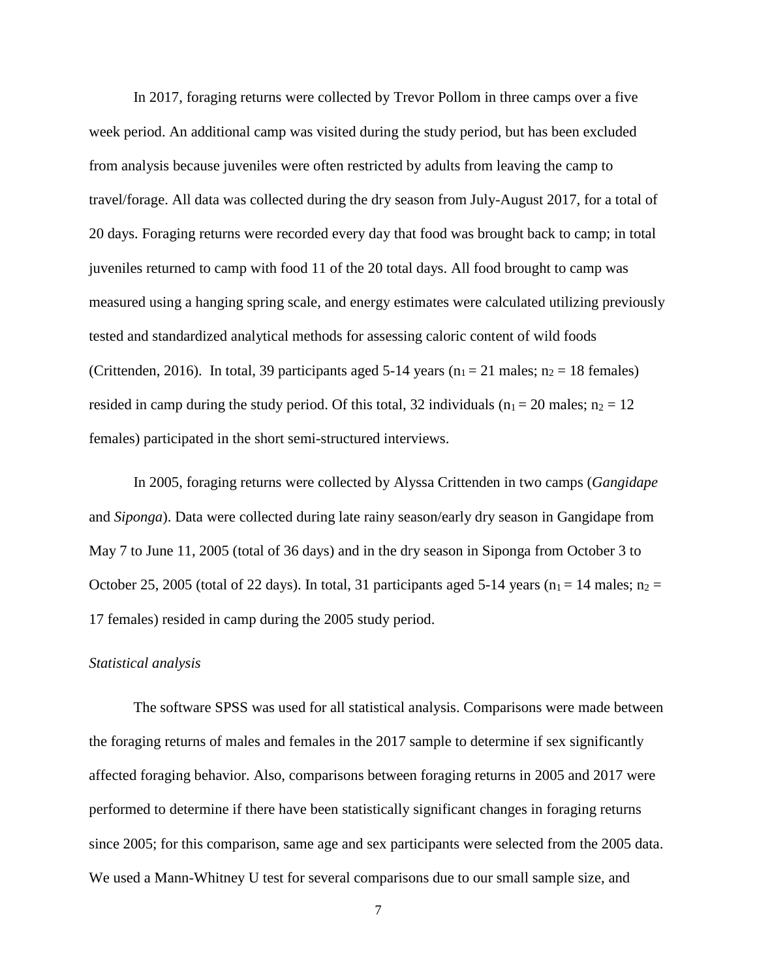In 2017, foraging returns were collected by Trevor Pollom in three camps over a five week period. An additional camp was visited during the study period, but has been excluded from analysis because juveniles were often restricted by adults from leaving the camp to travel/forage. All data was collected during the dry season from July-August 2017, for a total of 20 days. Foraging returns were recorded every day that food was brought back to camp; in total juveniles returned to camp with food 11 of the 20 total days. All food brought to camp was measured using a hanging spring scale, and energy estimates were calculated utilizing previously tested and standardized analytical methods for assessing caloric content of wild foods (Crittenden, 2016). In total, 39 participants aged 5-14 years ( $n_1 = 21$  males;  $n_2 = 18$  females) resided in camp during the study period. Of this total, 32 individuals ( $n_1 = 20$  males;  $n_2 = 12$ ) females) participated in the short semi-structured interviews.

In 2005, foraging returns were collected by Alyssa Crittenden in two camps (*Gangidape* and *Siponga*). Data were collected during late rainy season/early dry season in Gangidape from May 7 to June 11, 2005 (total of 36 days) and in the dry season in Siponga from October 3 to October 25, 2005 (total of 22 days). In total, 31 participants aged 5-14 years ( $n_1 = 14$  males;  $n_2 =$ 17 females) resided in camp during the 2005 study period.

#### *Statistical analysis*

The software SPSS was used for all statistical analysis. Comparisons were made between the foraging returns of males and females in the 2017 sample to determine if sex significantly affected foraging behavior. Also, comparisons between foraging returns in 2005 and 2017 were performed to determine if there have been statistically significant changes in foraging returns since 2005; for this comparison, same age and sex participants were selected from the 2005 data. We used a Mann-Whitney U test for several comparisons due to our small sample size, and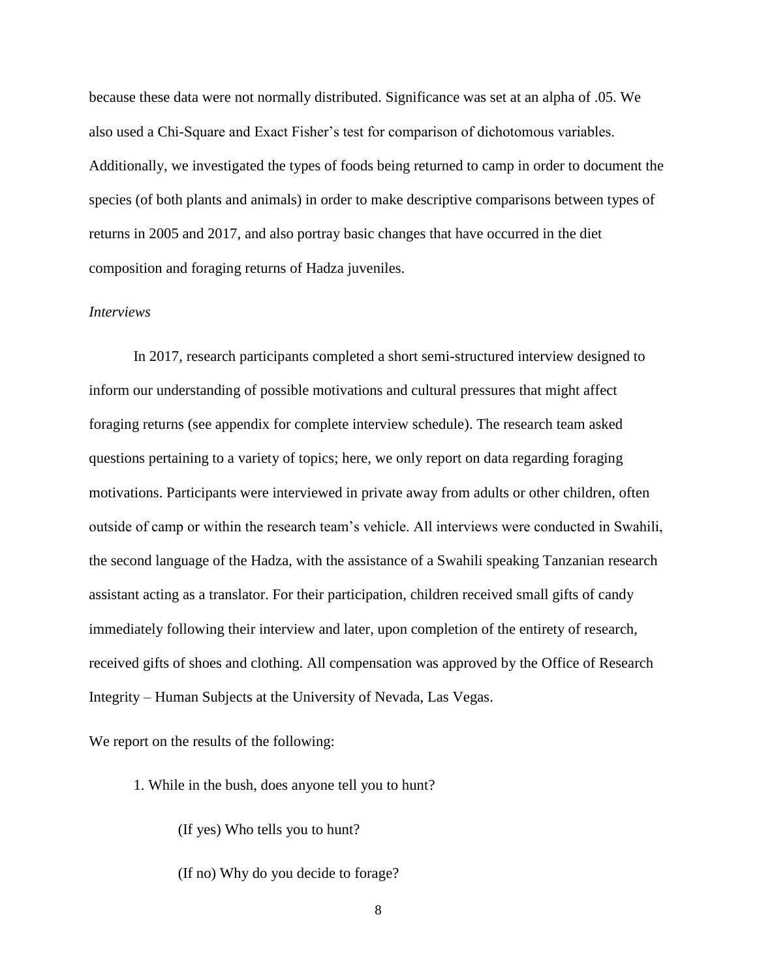because these data were not normally distributed. Significance was set at an alpha of .05. We also used a Chi-Square and Exact Fisher's test for comparison of dichotomous variables. Additionally, we investigated the types of foods being returned to camp in order to document the species (of both plants and animals) in order to make descriptive comparisons between types of returns in 2005 and 2017, and also portray basic changes that have occurred in the diet composition and foraging returns of Hadza juveniles.

#### *Interviews*

In 2017, research participants completed a short semi-structured interview designed to inform our understanding of possible motivations and cultural pressures that might affect foraging returns (see appendix for complete interview schedule). The research team asked questions pertaining to a variety of topics; here, we only report on data regarding foraging motivations. Participants were interviewed in private away from adults or other children, often outside of camp or within the research team's vehicle. All interviews were conducted in Swahili, the second language of the Hadza, with the assistance of a Swahili speaking Tanzanian research assistant acting as a translator. For their participation, children received small gifts of candy immediately following their interview and later, upon completion of the entirety of research, received gifts of shoes and clothing. All compensation was approved by the Office of Research Integrity – Human Subjects at the University of Nevada, Las Vegas.

We report on the results of the following:

1. While in the bush, does anyone tell you to hunt?

(If yes) Who tells you to hunt?

(If no) Why do you decide to forage?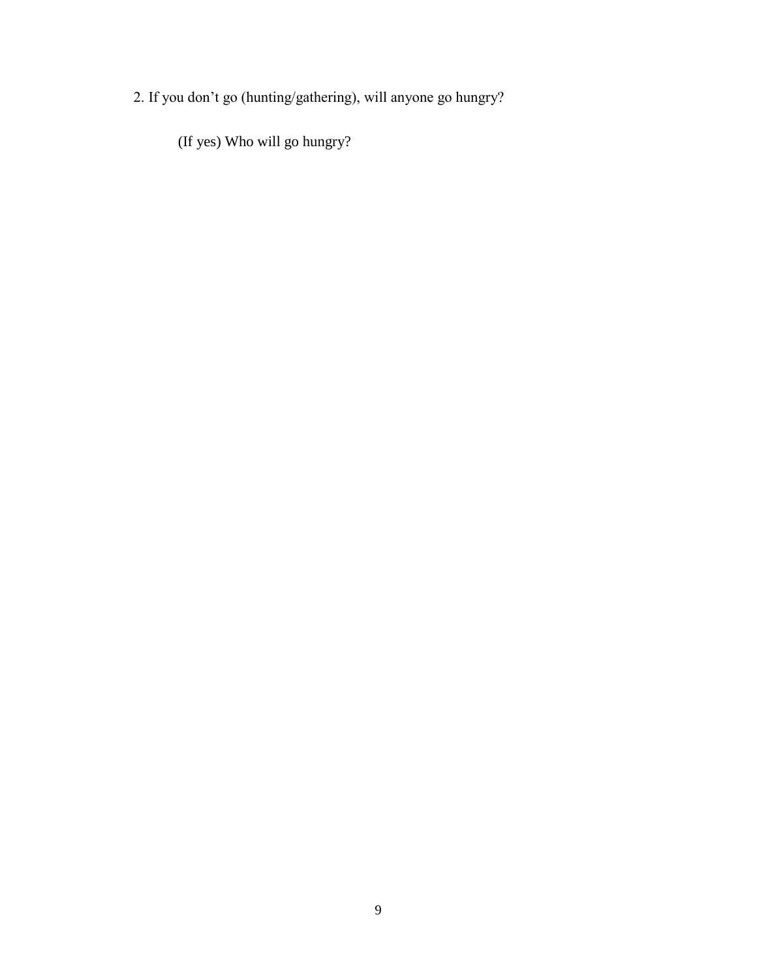2. If you don't go (hunting/gathering), will anyone go hungry?

(If yes) Who will go hungry?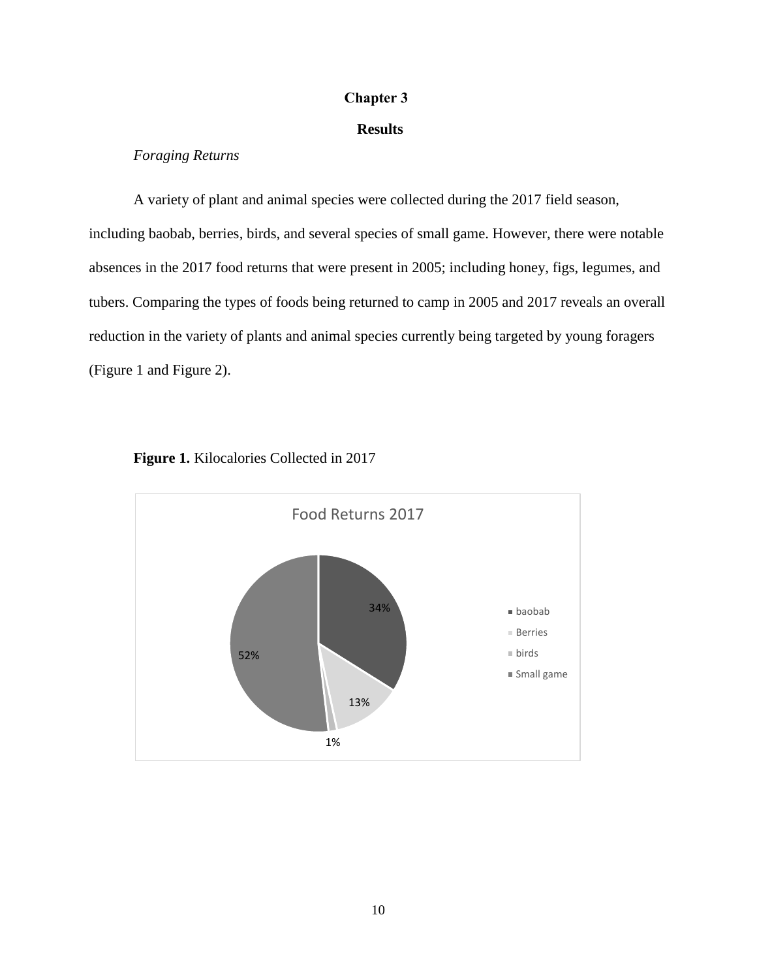#### **Chapter 3**

#### **Results**

#### *Foraging Returns*

A variety of plant and animal species were collected during the 2017 field season, including baobab, berries, birds, and several species of small game. However, there were notable absences in the 2017 food returns that were present in 2005; including honey, figs, legumes, and tubers. Comparing the types of foods being returned to camp in 2005 and 2017 reveals an overall reduction in the variety of plants and animal species currently being targeted by young foragers (Figure 1 and Figure 2).



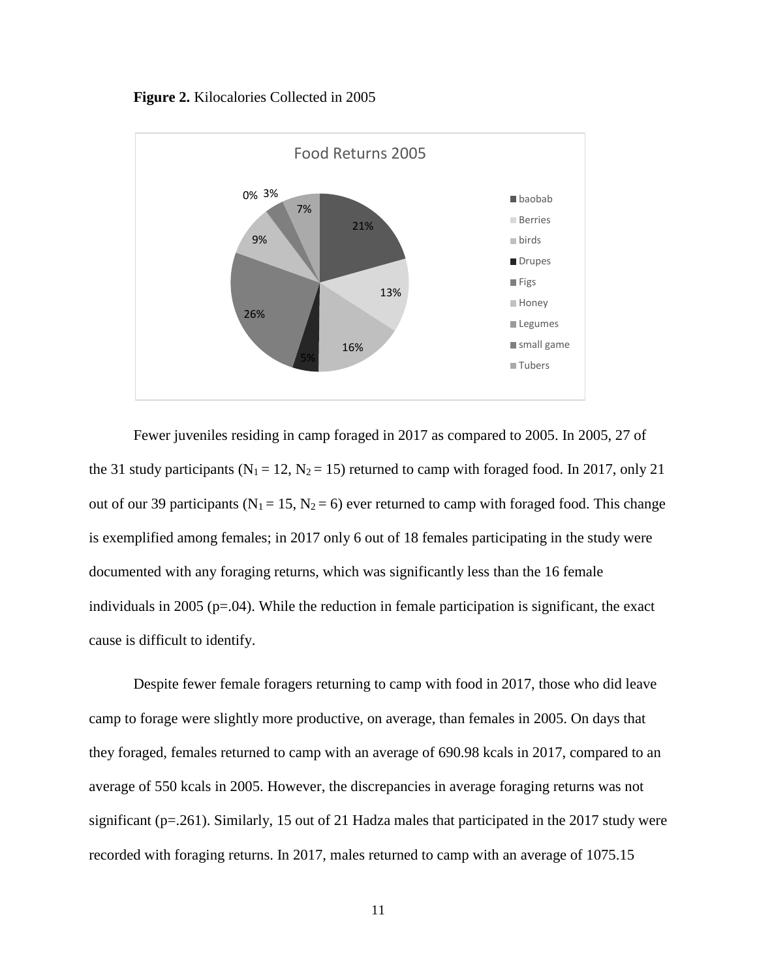**Figure 2.** Kilocalories Collected in 2005



Fewer juveniles residing in camp foraged in 2017 as compared to 2005. In 2005, 27 of the 31 study participants ( $N_1 = 12$ ,  $N_2 = 15$ ) returned to camp with foraged food. In 2017, only 21 out of our 39 participants ( $N_1 = 15$ ,  $N_2 = 6$ ) ever returned to camp with foraged food. This change is exemplified among females; in 2017 only 6 out of 18 females participating in the study were documented with any foraging returns, which was significantly less than the 16 female individuals in 2005 ( $p=0.04$ ). While the reduction in female participation is significant, the exact cause is difficult to identify.

Despite fewer female foragers returning to camp with food in 2017, those who did leave camp to forage were slightly more productive, on average, than females in 2005. On days that they foraged, females returned to camp with an average of 690.98 kcals in 2017, compared to an average of 550 kcals in 2005. However, the discrepancies in average foraging returns was not significant (p=.261). Similarly, 15 out of 21 Hadza males that participated in the 2017 study were recorded with foraging returns. In 2017, males returned to camp with an average of 1075.15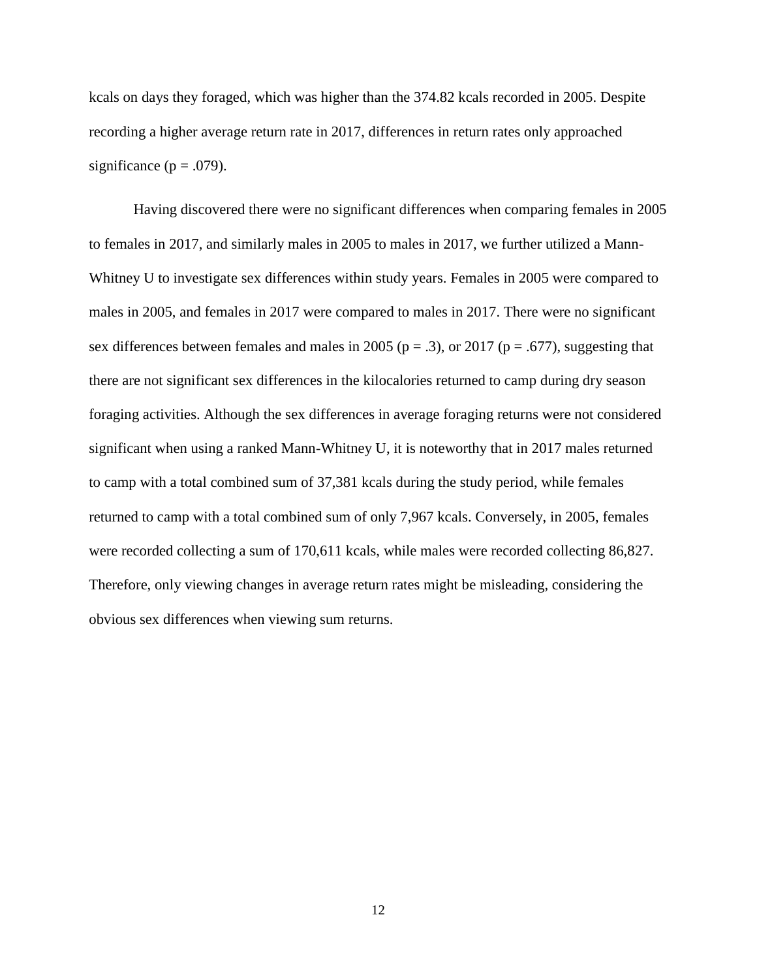kcals on days they foraged, which was higher than the 374.82 kcals recorded in 2005. Despite recording a higher average return rate in 2017, differences in return rates only approached significance ( $p = .079$ ).

Having discovered there were no significant differences when comparing females in 2005 to females in 2017, and similarly males in 2005 to males in 2017, we further utilized a Mann-Whitney U to investigate sex differences within study years. Females in 2005 were compared to males in 2005, and females in 2017 were compared to males in 2017. There were no significant sex differences between females and males in 2005 ( $p = .3$ ), or 2017 ( $p = .677$ ), suggesting that there are not significant sex differences in the kilocalories returned to camp during dry season foraging activities. Although the sex differences in average foraging returns were not considered significant when using a ranked Mann-Whitney U, it is noteworthy that in 2017 males returned to camp with a total combined sum of 37,381 kcals during the study period, while females returned to camp with a total combined sum of only 7,967 kcals. Conversely, in 2005, females were recorded collecting a sum of 170,611 kcals, while males were recorded collecting 86,827. Therefore, only viewing changes in average return rates might be misleading, considering the obvious sex differences when viewing sum returns.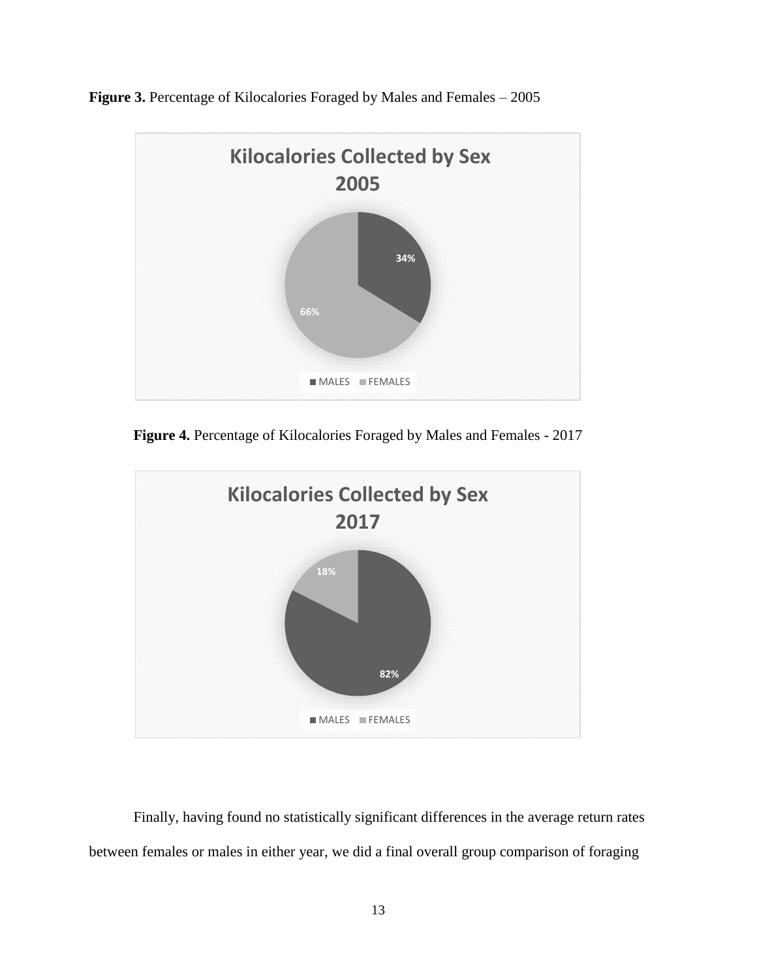

**Figure 3.** Percentage of Kilocalories Foraged by Males and Females – 2005

**Figure 4.** Percentage of Kilocalories Foraged by Males and Females - 2017



Finally, having found no statistically significant differences in the average return rates between females or males in either year, we did a final overall group comparison of foraging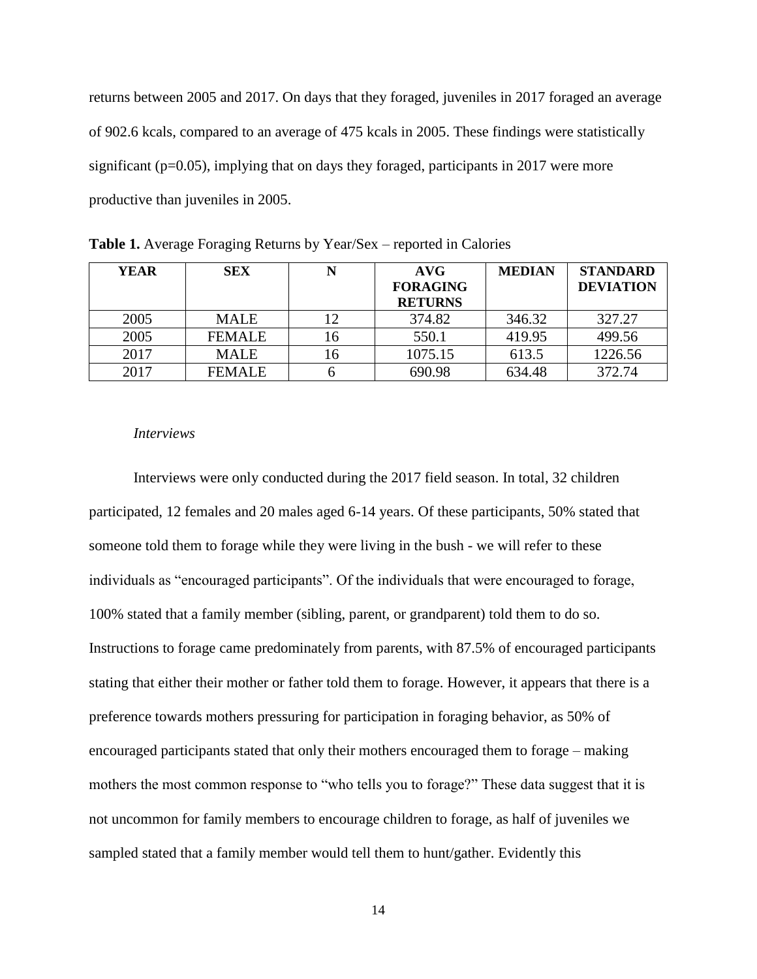returns between 2005 and 2017. On days that they foraged, juveniles in 2017 foraged an average of 902.6 kcals, compared to an average of 475 kcals in 2005. These findings were statistically significant ( $p=0.05$ ), implying that on days they foraged, participants in 2017 were more productive than juveniles in 2005.

| <b>YEAR</b> | <b>SEX</b>    |    | AVG             | <b>MEDIAN</b> | <b>STANDARD</b>  |
|-------------|---------------|----|-----------------|---------------|------------------|
|             |               |    | <b>FORAGING</b> |               | <b>DEVIATION</b> |
|             |               |    | <b>RETURNS</b>  |               |                  |
| 2005        | <b>MALE</b>   |    | 374.82          | 346.32        | 327.27           |
| 2005        | <b>FEMALE</b> | 16 | 550.1           | 419.95        | 499.56           |
| 2017        | <b>MALE</b>   |    | 1075.15         | 613.5         | 1226.56          |
| 2017        | <b>FEMALE</b> |    | 690.98          | 634.48        | 372.74           |

|  |  | Table 1. Average Foraging Returns by Year/Sex - reported in Calories |
|--|--|----------------------------------------------------------------------|
|  |  |                                                                      |

#### *Interviews*

Interviews were only conducted during the 2017 field season. In total, 32 children participated, 12 females and 20 males aged 6-14 years. Of these participants, 50% stated that someone told them to forage while they were living in the bush - we will refer to these individuals as "encouraged participants". Of the individuals that were encouraged to forage, 100% stated that a family member (sibling, parent, or grandparent) told them to do so. Instructions to forage came predominately from parents, with 87.5% of encouraged participants stating that either their mother or father told them to forage. However, it appears that there is a preference towards mothers pressuring for participation in foraging behavior, as 50% of encouraged participants stated that only their mothers encouraged them to forage – making mothers the most common response to "who tells you to forage?" These data suggest that it is not uncommon for family members to encourage children to forage, as half of juveniles we sampled stated that a family member would tell them to hunt/gather. Evidently this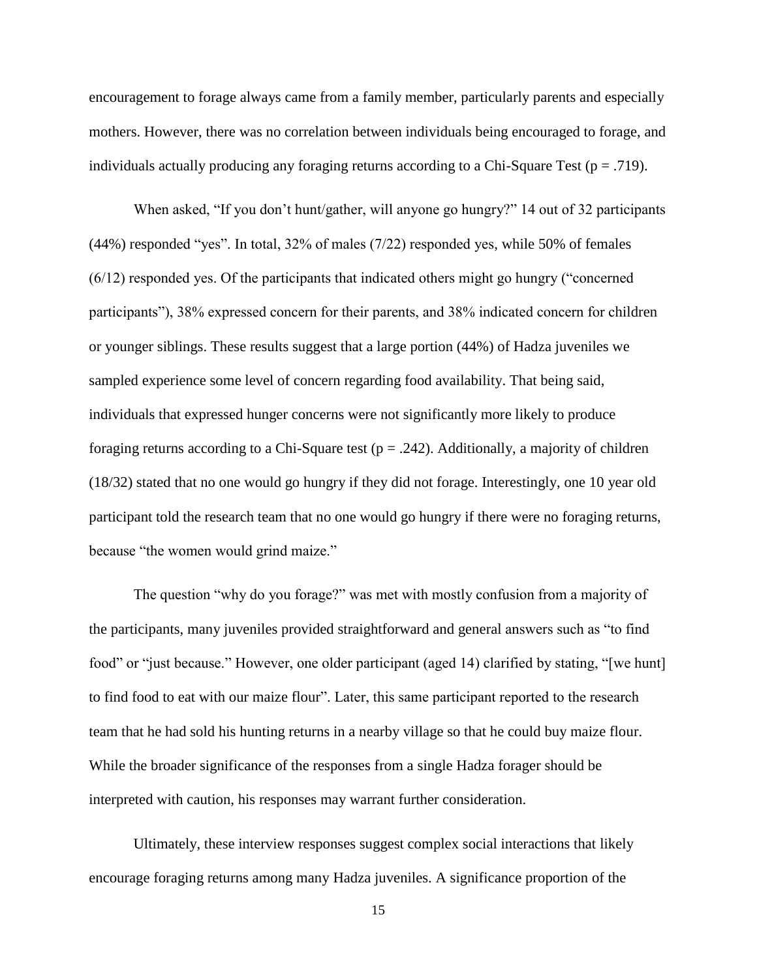encouragement to forage always came from a family member, particularly parents and especially mothers. However, there was no correlation between individuals being encouraged to forage, and individuals actually producing any foraging returns according to a Chi-Square Test ( $p = .719$ ).

When asked, "If you don't hunt/gather, will anyone go hungry?" 14 out of 32 participants (44%) responded "yes". In total, 32% of males (7/22) responded yes, while 50% of females (6/12) responded yes. Of the participants that indicated others might go hungry ("concerned participants"), 38% expressed concern for their parents, and 38% indicated concern for children or younger siblings. These results suggest that a large portion (44%) of Hadza juveniles we sampled experience some level of concern regarding food availability. That being said, individuals that expressed hunger concerns were not significantly more likely to produce foraging returns according to a Chi-Square test ( $p = .242$ ). Additionally, a majority of children (18/32) stated that no one would go hungry if they did not forage. Interestingly, one 10 year old participant told the research team that no one would go hungry if there were no foraging returns, because "the women would grind maize."

The question "why do you forage?" was met with mostly confusion from a majority of the participants, many juveniles provided straightforward and general answers such as "to find food" or "just because." However, one older participant (aged 14) clarified by stating, "[we hunt] to find food to eat with our maize flour". Later, this same participant reported to the research team that he had sold his hunting returns in a nearby village so that he could buy maize flour. While the broader significance of the responses from a single Hadza forager should be interpreted with caution, his responses may warrant further consideration.

Ultimately, these interview responses suggest complex social interactions that likely encourage foraging returns among many Hadza juveniles. A significance proportion of the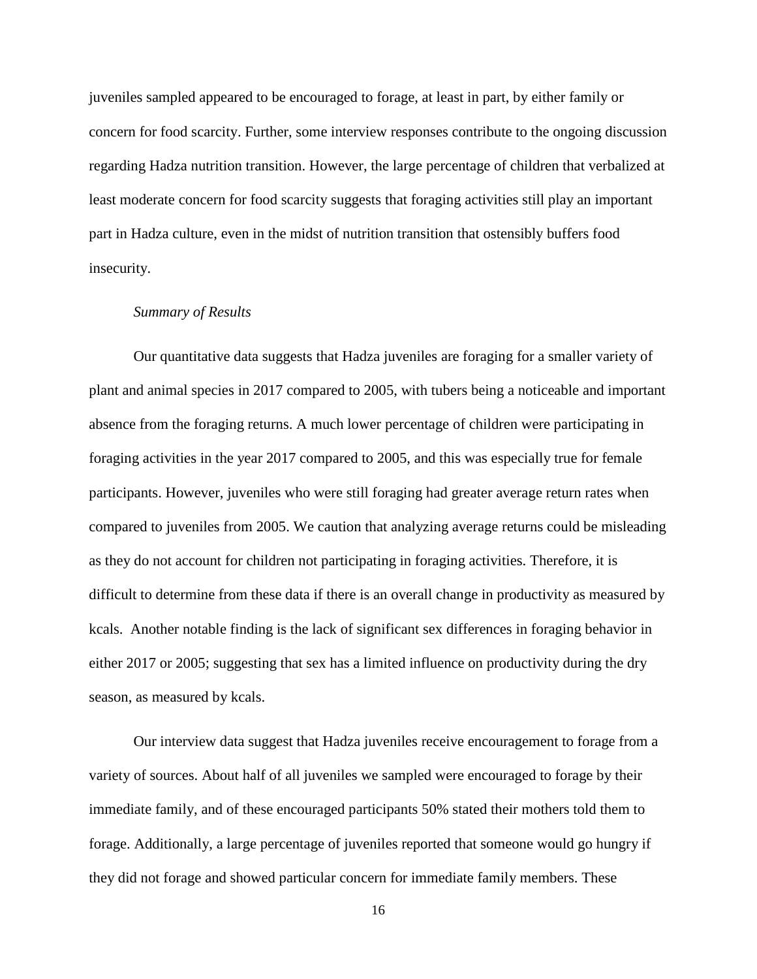juveniles sampled appeared to be encouraged to forage, at least in part, by either family or concern for food scarcity. Further, some interview responses contribute to the ongoing discussion regarding Hadza nutrition transition. However, the large percentage of children that verbalized at least moderate concern for food scarcity suggests that foraging activities still play an important part in Hadza culture, even in the midst of nutrition transition that ostensibly buffers food insecurity.

#### *Summary of Results*

Our quantitative data suggests that Hadza juveniles are foraging for a smaller variety of plant and animal species in 2017 compared to 2005, with tubers being a noticeable and important absence from the foraging returns. A much lower percentage of children were participating in foraging activities in the year 2017 compared to 2005, and this was especially true for female participants. However, juveniles who were still foraging had greater average return rates when compared to juveniles from 2005. We caution that analyzing average returns could be misleading as they do not account for children not participating in foraging activities. Therefore, it is difficult to determine from these data if there is an overall change in productivity as measured by kcals. Another notable finding is the lack of significant sex differences in foraging behavior in either 2017 or 2005; suggesting that sex has a limited influence on productivity during the dry season, as measured by kcals.

Our interview data suggest that Hadza juveniles receive encouragement to forage from a variety of sources. About half of all juveniles we sampled were encouraged to forage by their immediate family, and of these encouraged participants 50% stated their mothers told them to forage. Additionally, a large percentage of juveniles reported that someone would go hungry if they did not forage and showed particular concern for immediate family members. These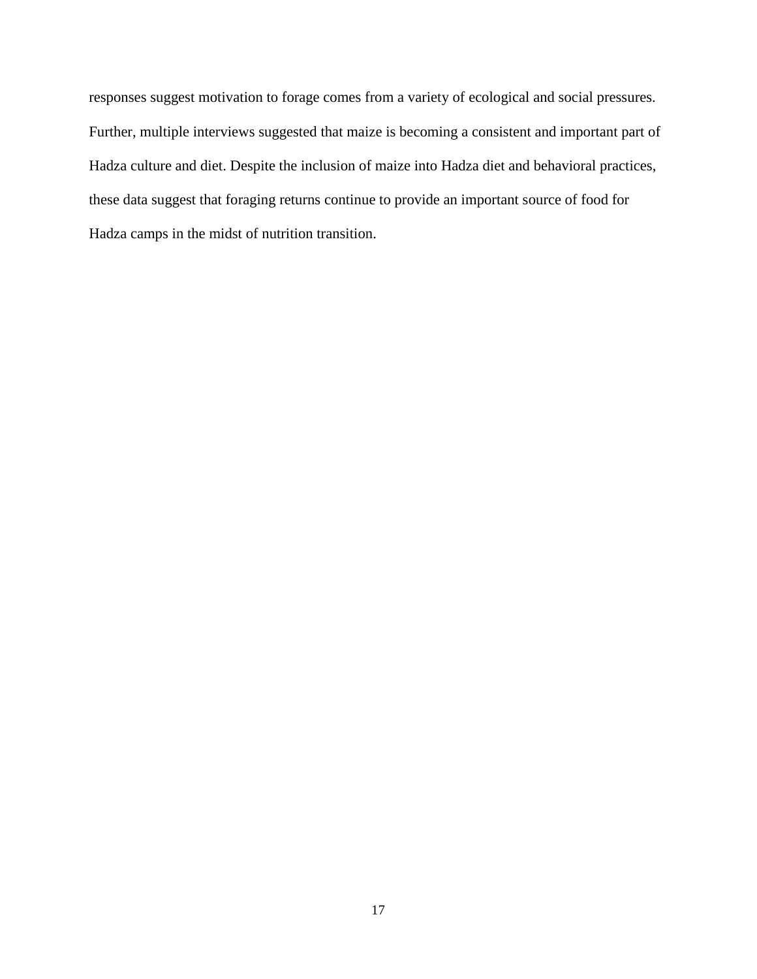responses suggest motivation to forage comes from a variety of ecological and social pressures. Further, multiple interviews suggested that maize is becoming a consistent and important part of Hadza culture and diet. Despite the inclusion of maize into Hadza diet and behavioral practices, these data suggest that foraging returns continue to provide an important source of food for Hadza camps in the midst of nutrition transition.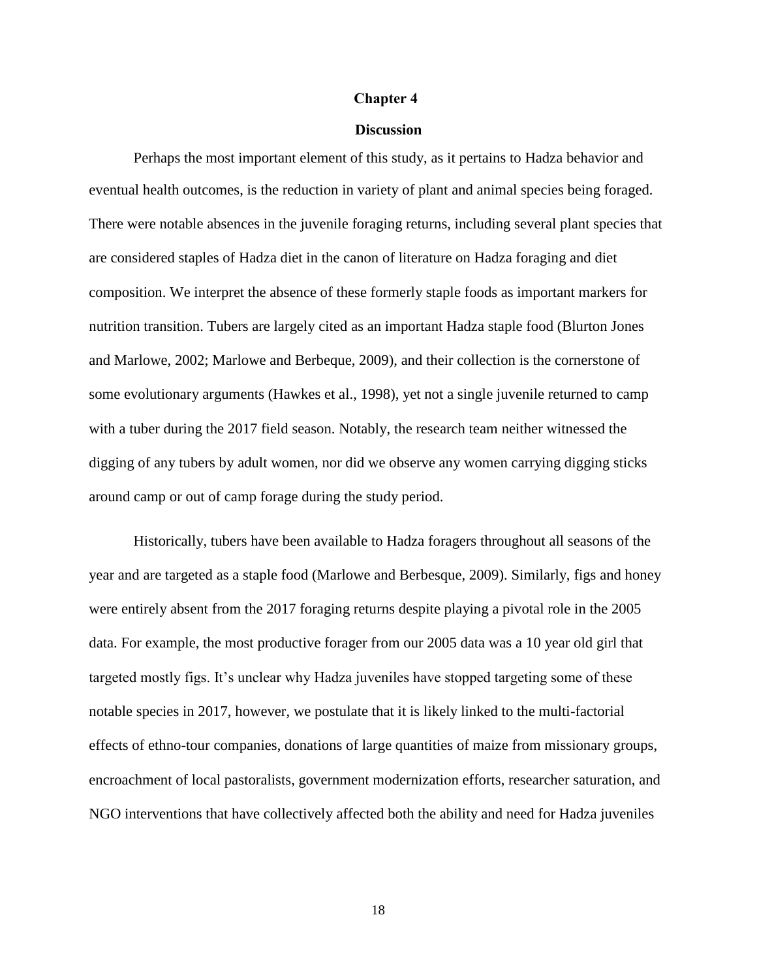#### **Chapter 4**

#### **Discussion**

Perhaps the most important element of this study, as it pertains to Hadza behavior and eventual health outcomes, is the reduction in variety of plant and animal species being foraged. There were notable absences in the juvenile foraging returns, including several plant species that are considered staples of Hadza diet in the canon of literature on Hadza foraging and diet composition. We interpret the absence of these formerly staple foods as important markers for nutrition transition. Tubers are largely cited as an important Hadza staple food (Blurton Jones and Marlowe, 2002; Marlowe and Berbeque, 2009), and their collection is the cornerstone of some evolutionary arguments (Hawkes et al., 1998), yet not a single juvenile returned to camp with a tuber during the 2017 field season. Notably, the research team neither witnessed the digging of any tubers by adult women, nor did we observe any women carrying digging sticks around camp or out of camp forage during the study period.

Historically, tubers have been available to Hadza foragers throughout all seasons of the year and are targeted as a staple food (Marlowe and Berbesque, 2009). Similarly, figs and honey were entirely absent from the 2017 foraging returns despite playing a pivotal role in the 2005 data. For example, the most productive forager from our 2005 data was a 10 year old girl that targeted mostly figs. It's unclear why Hadza juveniles have stopped targeting some of these notable species in 2017, however, we postulate that it is likely linked to the multi-factorial effects of ethno-tour companies, donations of large quantities of maize from missionary groups, encroachment of local pastoralists, government modernization efforts, researcher saturation, and NGO interventions that have collectively affected both the ability and need for Hadza juveniles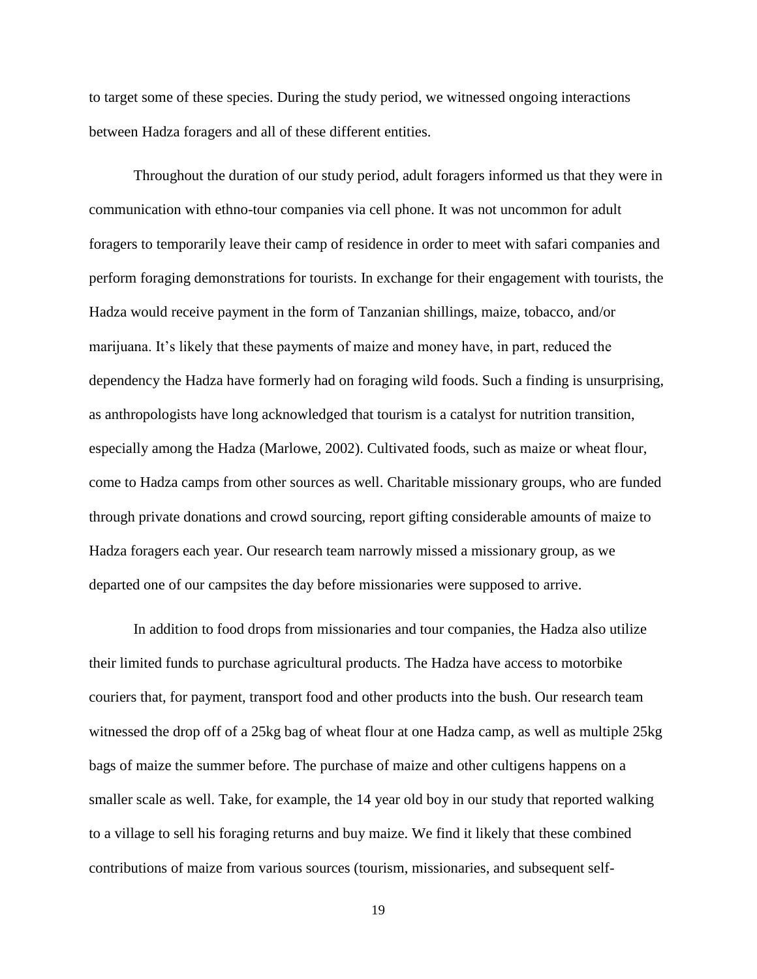to target some of these species. During the study period, we witnessed ongoing interactions between Hadza foragers and all of these different entities.

Throughout the duration of our study period, adult foragers informed us that they were in communication with ethno-tour companies via cell phone. It was not uncommon for adult foragers to temporarily leave their camp of residence in order to meet with safari companies and perform foraging demonstrations for tourists. In exchange for their engagement with tourists, the Hadza would receive payment in the form of Tanzanian shillings, maize, tobacco, and/or marijuana. It's likely that these payments of maize and money have, in part, reduced the dependency the Hadza have formerly had on foraging wild foods. Such a finding is unsurprising, as anthropologists have long acknowledged that tourism is a catalyst for nutrition transition, especially among the Hadza (Marlowe, 2002). Cultivated foods, such as maize or wheat flour, come to Hadza camps from other sources as well. Charitable missionary groups, who are funded through private donations and crowd sourcing, report gifting considerable amounts of maize to Hadza foragers each year. Our research team narrowly missed a missionary group, as we departed one of our campsites the day before missionaries were supposed to arrive.

In addition to food drops from missionaries and tour companies, the Hadza also utilize their limited funds to purchase agricultural products. The Hadza have access to motorbike couriers that, for payment, transport food and other products into the bush. Our research team witnessed the drop off of a 25kg bag of wheat flour at one Hadza camp, as well as multiple 25kg bags of maize the summer before. The purchase of maize and other cultigens happens on a smaller scale as well. Take, for example, the 14 year old boy in our study that reported walking to a village to sell his foraging returns and buy maize. We find it likely that these combined contributions of maize from various sources (tourism, missionaries, and subsequent self-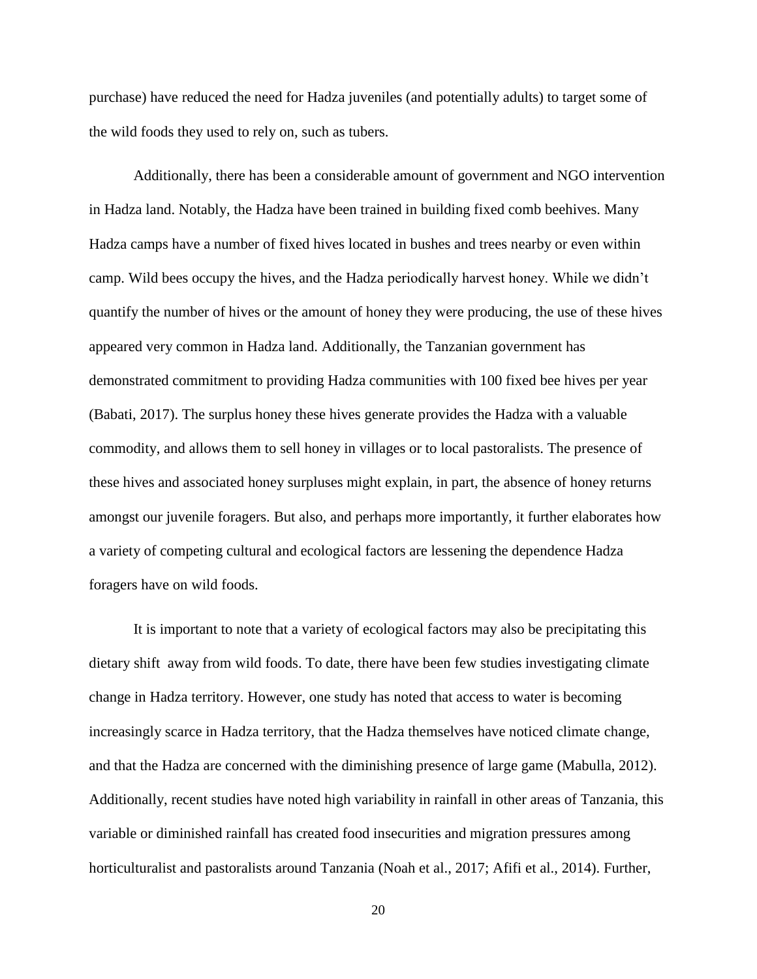purchase) have reduced the need for Hadza juveniles (and potentially adults) to target some of the wild foods they used to rely on, such as tubers.

Additionally, there has been a considerable amount of government and NGO intervention in Hadza land. Notably, the Hadza have been trained in building fixed comb beehives. Many Hadza camps have a number of fixed hives located in bushes and trees nearby or even within camp. Wild bees occupy the hives, and the Hadza periodically harvest honey. While we didn't quantify the number of hives or the amount of honey they were producing, the use of these hives appeared very common in Hadza land. Additionally, the Tanzanian government has demonstrated commitment to providing Hadza communities with 100 fixed bee hives per year (Babati, 2017). The surplus honey these hives generate provides the Hadza with a valuable commodity, and allows them to sell honey in villages or to local pastoralists. The presence of these hives and associated honey surpluses might explain, in part, the absence of honey returns amongst our juvenile foragers. But also, and perhaps more importantly, it further elaborates how a variety of competing cultural and ecological factors are lessening the dependence Hadza foragers have on wild foods.

It is important to note that a variety of ecological factors may also be precipitating this dietary shift away from wild foods. To date, there have been few studies investigating climate change in Hadza territory. However, one study has noted that access to water is becoming increasingly scarce in Hadza territory, that the Hadza themselves have noticed climate change, and that the Hadza are concerned with the diminishing presence of large game (Mabulla, 2012). Additionally, recent studies have noted high variability in rainfall in other areas of Tanzania, this variable or diminished rainfall has created food insecurities and migration pressures among horticulturalist and pastoralists around Tanzania (Noah et al., 2017; Afifi et al., 2014). Further,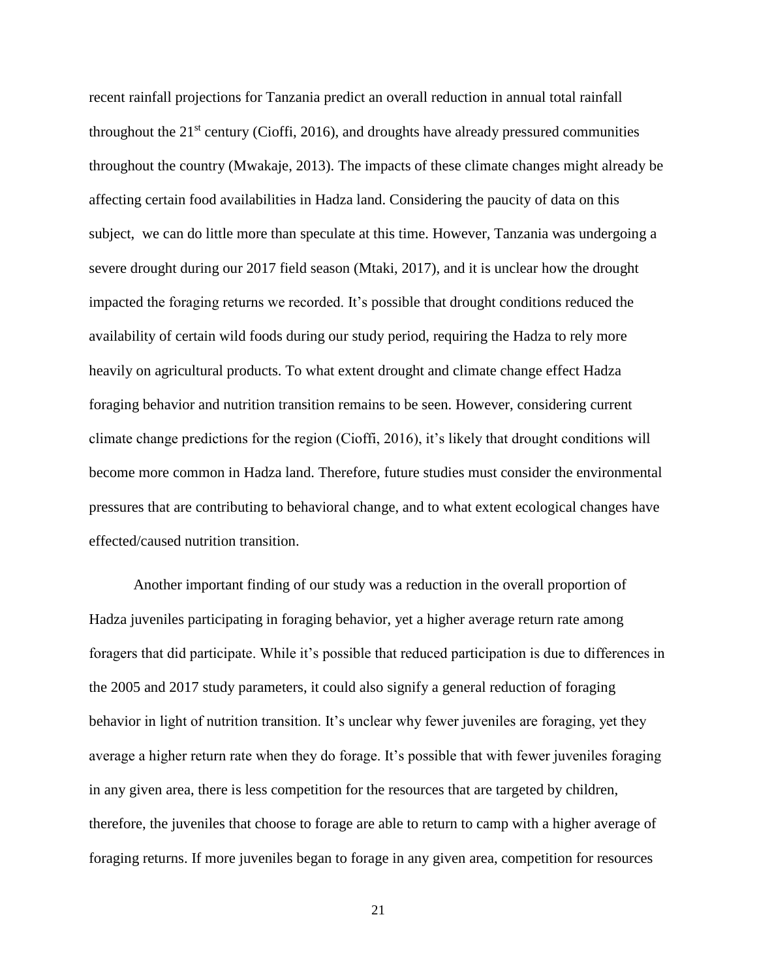recent rainfall projections for Tanzania predict an overall reduction in annual total rainfall throughout the  $21<sup>st</sup>$  century (Cioffi, 2016), and droughts have already pressured communities throughout the country (Mwakaje, 2013). The impacts of these climate changes might already be affecting certain food availabilities in Hadza land. Considering the paucity of data on this subject, we can do little more than speculate at this time. However, Tanzania was undergoing a severe drought during our 2017 field season (Mtaki, 2017), and it is unclear how the drought impacted the foraging returns we recorded. It's possible that drought conditions reduced the availability of certain wild foods during our study period, requiring the Hadza to rely more heavily on agricultural products. To what extent drought and climate change effect Hadza foraging behavior and nutrition transition remains to be seen. However, considering current climate change predictions for the region (Cioffi, 2016), it's likely that drought conditions will become more common in Hadza land. Therefore, future studies must consider the environmental pressures that are contributing to behavioral change, and to what extent ecological changes have effected/caused nutrition transition.

Another important finding of our study was a reduction in the overall proportion of Hadza juveniles participating in foraging behavior, yet a higher average return rate among foragers that did participate. While it's possible that reduced participation is due to differences in the 2005 and 2017 study parameters, it could also signify a general reduction of foraging behavior in light of nutrition transition. It's unclear why fewer juveniles are foraging, yet they average a higher return rate when they do forage. It's possible that with fewer juveniles foraging in any given area, there is less competition for the resources that are targeted by children, therefore, the juveniles that choose to forage are able to return to camp with a higher average of foraging returns. If more juveniles began to forage in any given area, competition for resources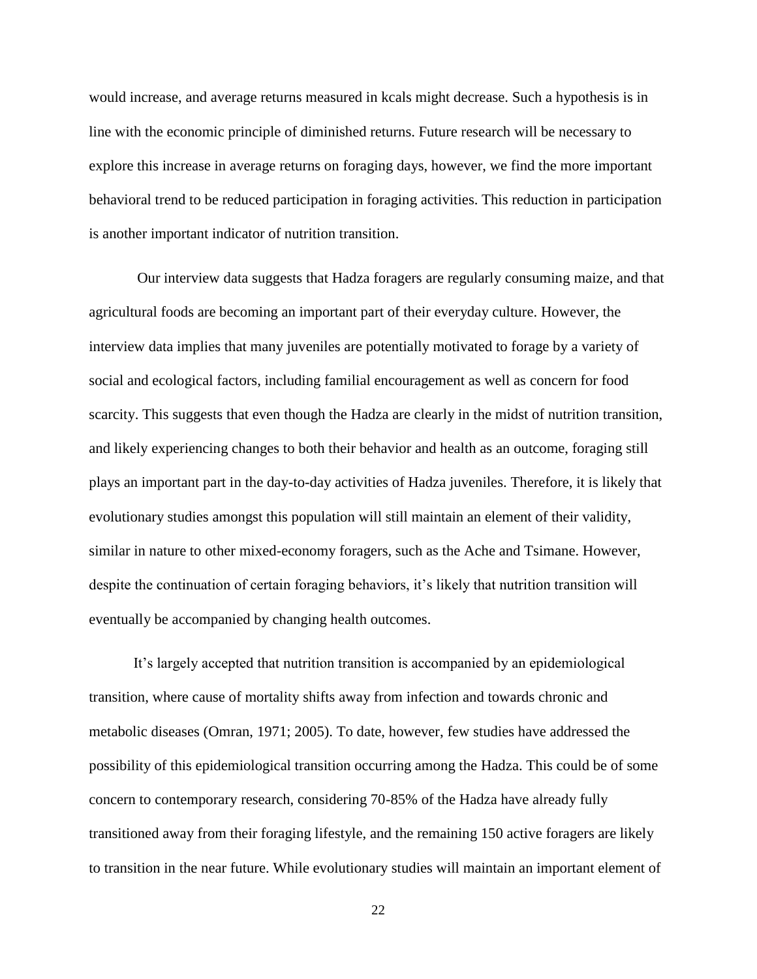would increase, and average returns measured in kcals might decrease. Such a hypothesis is in line with the economic principle of diminished returns. Future research will be necessary to explore this increase in average returns on foraging days, however, we find the more important behavioral trend to be reduced participation in foraging activities. This reduction in participation is another important indicator of nutrition transition.

Our interview data suggests that Hadza foragers are regularly consuming maize, and that agricultural foods are becoming an important part of their everyday culture. However, the interview data implies that many juveniles are potentially motivated to forage by a variety of social and ecological factors, including familial encouragement as well as concern for food scarcity. This suggests that even though the Hadza are clearly in the midst of nutrition transition, and likely experiencing changes to both their behavior and health as an outcome, foraging still plays an important part in the day-to-day activities of Hadza juveniles. Therefore, it is likely that evolutionary studies amongst this population will still maintain an element of their validity, similar in nature to other mixed-economy foragers, such as the Ache and Tsimane. However, despite the continuation of certain foraging behaviors, it's likely that nutrition transition will eventually be accompanied by changing health outcomes.

It's largely accepted that nutrition transition is accompanied by an epidemiological transition, where cause of mortality shifts away from infection and towards chronic and metabolic diseases (Omran, 1971; 2005). To date, however, few studies have addressed the possibility of this epidemiological transition occurring among the Hadza. This could be of some concern to contemporary research, considering 70-85% of the Hadza have already fully transitioned away from their foraging lifestyle, and the remaining 150 active foragers are likely to transition in the near future. While evolutionary studies will maintain an important element of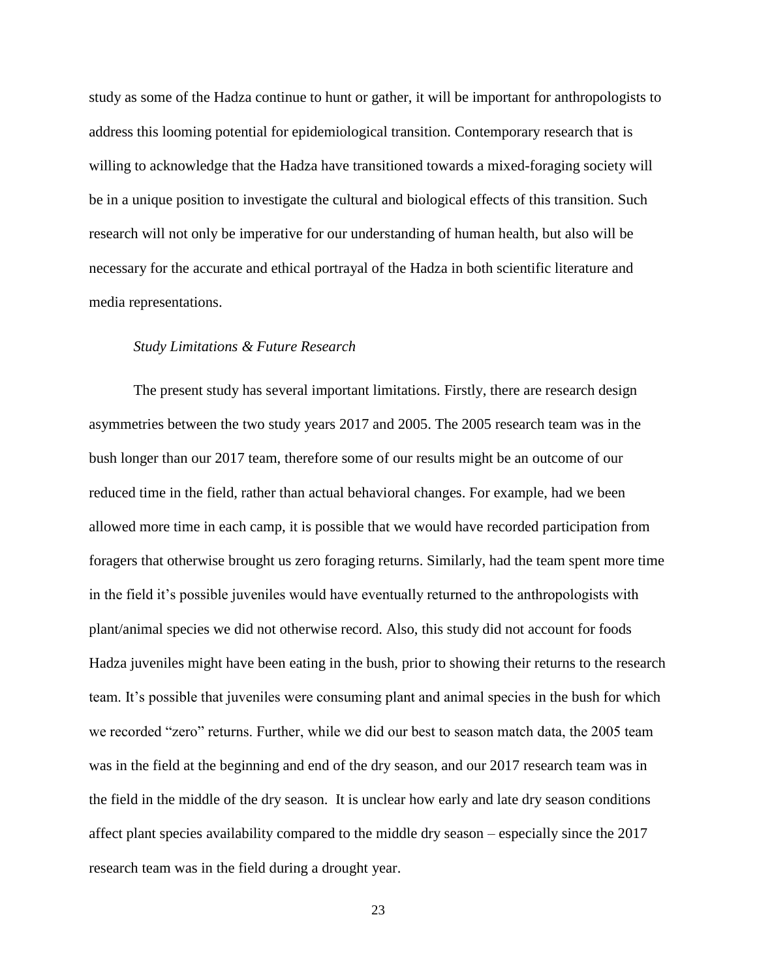study as some of the Hadza continue to hunt or gather, it will be important for anthropologists to address this looming potential for epidemiological transition. Contemporary research that is willing to acknowledge that the Hadza have transitioned towards a mixed-foraging society will be in a unique position to investigate the cultural and biological effects of this transition. Such research will not only be imperative for our understanding of human health, but also will be necessary for the accurate and ethical portrayal of the Hadza in both scientific literature and media representations.

#### *Study Limitations & Future Research*

The present study has several important limitations. Firstly, there are research design asymmetries between the two study years 2017 and 2005. The 2005 research team was in the bush longer than our 2017 team, therefore some of our results might be an outcome of our reduced time in the field, rather than actual behavioral changes. For example, had we been allowed more time in each camp, it is possible that we would have recorded participation from foragers that otherwise brought us zero foraging returns. Similarly, had the team spent more time in the field it's possible juveniles would have eventually returned to the anthropologists with plant/animal species we did not otherwise record. Also, this study did not account for foods Hadza juveniles might have been eating in the bush, prior to showing their returns to the research team. It's possible that juveniles were consuming plant and animal species in the bush for which we recorded "zero" returns. Further, while we did our best to season match data, the 2005 team was in the field at the beginning and end of the dry season, and our 2017 research team was in the field in the middle of the dry season. It is unclear how early and late dry season conditions affect plant species availability compared to the middle dry season – especially since the 2017 research team was in the field during a drought year.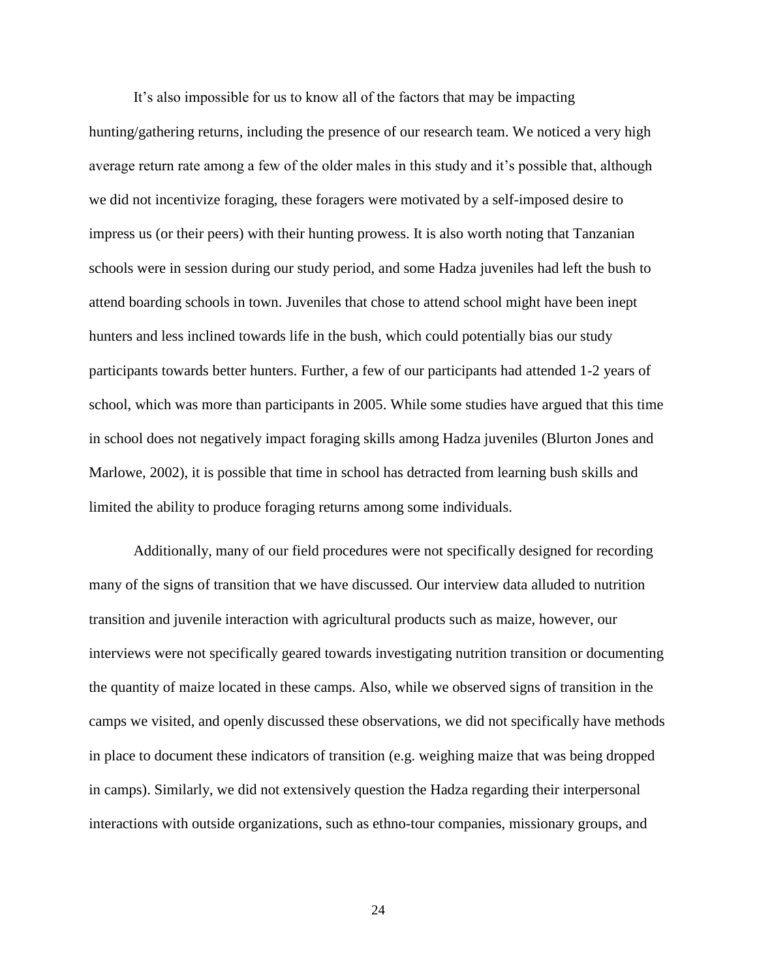It's also impossible for us to know all of the factors that may be impacting hunting/gathering returns, including the presence of our research team. We noticed a very high average return rate among a few of the older males in this study and it's possible that, although we did not incentivize foraging, these foragers were motivated by a self-imposed desire to impress us (or their peers) with their hunting prowess. It is also worth noting that Tanzanian schools were in session during our study period, and some Hadza juveniles had left the bush to attend boarding schools in town. Juveniles that chose to attend school might have been inept hunters and less inclined towards life in the bush, which could potentially bias our study participants towards better hunters. Further, a few of our participants had attended 1-2 years of school, which was more than participants in 2005. While some studies have argued that this time in school does not negatively impact foraging skills among Hadza juveniles (Blurton Jones and Marlowe, 2002), it is possible that time in school has detracted from learning bush skills and limited the ability to produce foraging returns among some individuals.

Additionally, many of our field procedures were not specifically designed for recording many of the signs of transition that we have discussed. Our interview data alluded to nutrition transition and juvenile interaction with agricultural products such as maize, however, our interviews were not specifically geared towards investigating nutrition transition or documenting the quantity of maize located in these camps. Also, while we observed signs of transition in the camps we visited, and openly discussed these observations, we did not specifically have methods in place to document these indicators of transition (e.g. weighing maize that was being dropped in camps). Similarly, we did not extensively question the Hadza regarding their interpersonal interactions with outside organizations, such as ethno-tour companies, missionary groups, and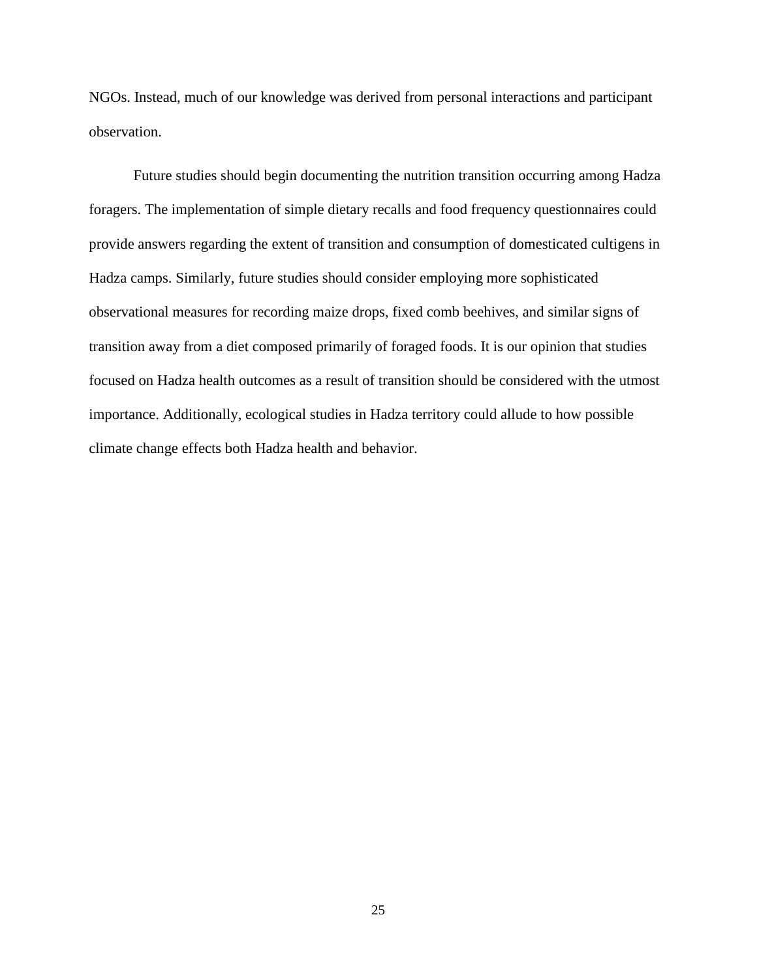NGOs. Instead, much of our knowledge was derived from personal interactions and participant observation.

Future studies should begin documenting the nutrition transition occurring among Hadza foragers. The implementation of simple dietary recalls and food frequency questionnaires could provide answers regarding the extent of transition and consumption of domesticated cultigens in Hadza camps. Similarly, future studies should consider employing more sophisticated observational measures for recording maize drops, fixed comb beehives, and similar signs of transition away from a diet composed primarily of foraged foods. It is our opinion that studies focused on Hadza health outcomes as a result of transition should be considered with the utmost importance. Additionally, ecological studies in Hadza territory could allude to how possible climate change effects both Hadza health and behavior.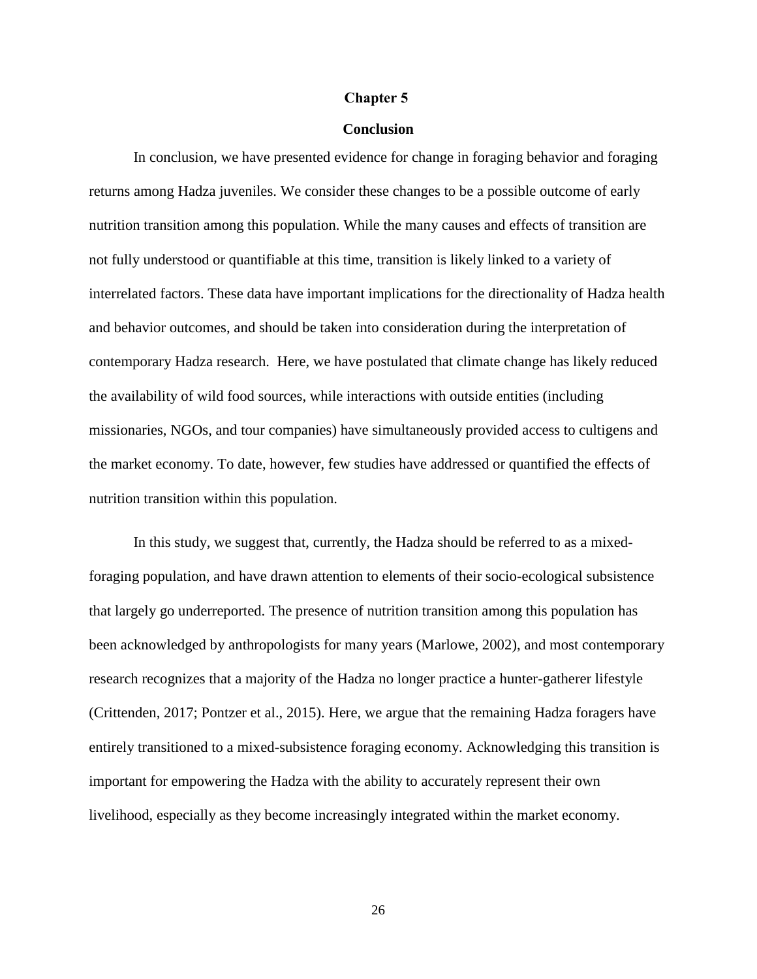#### **Chapter 5**

### **Conclusion**

In conclusion, we have presented evidence for change in foraging behavior and foraging returns among Hadza juveniles. We consider these changes to be a possible outcome of early nutrition transition among this population. While the many causes and effects of transition are not fully understood or quantifiable at this time, transition is likely linked to a variety of interrelated factors. These data have important implications for the directionality of Hadza health and behavior outcomes, and should be taken into consideration during the interpretation of contemporary Hadza research. Here, we have postulated that climate change has likely reduced the availability of wild food sources, while interactions with outside entities (including missionaries, NGOs, and tour companies) have simultaneously provided access to cultigens and the market economy. To date, however, few studies have addressed or quantified the effects of nutrition transition within this population.

In this study, we suggest that, currently, the Hadza should be referred to as a mixedforaging population, and have drawn attention to elements of their socio-ecological subsistence that largely go underreported. The presence of nutrition transition among this population has been acknowledged by anthropologists for many years (Marlowe, 2002), and most contemporary research recognizes that a majority of the Hadza no longer practice a hunter-gatherer lifestyle (Crittenden, 2017; Pontzer et al., 2015). Here, we argue that the remaining Hadza foragers have entirely transitioned to a mixed-subsistence foraging economy. Acknowledging this transition is important for empowering the Hadza with the ability to accurately represent their own livelihood, especially as they become increasingly integrated within the market economy.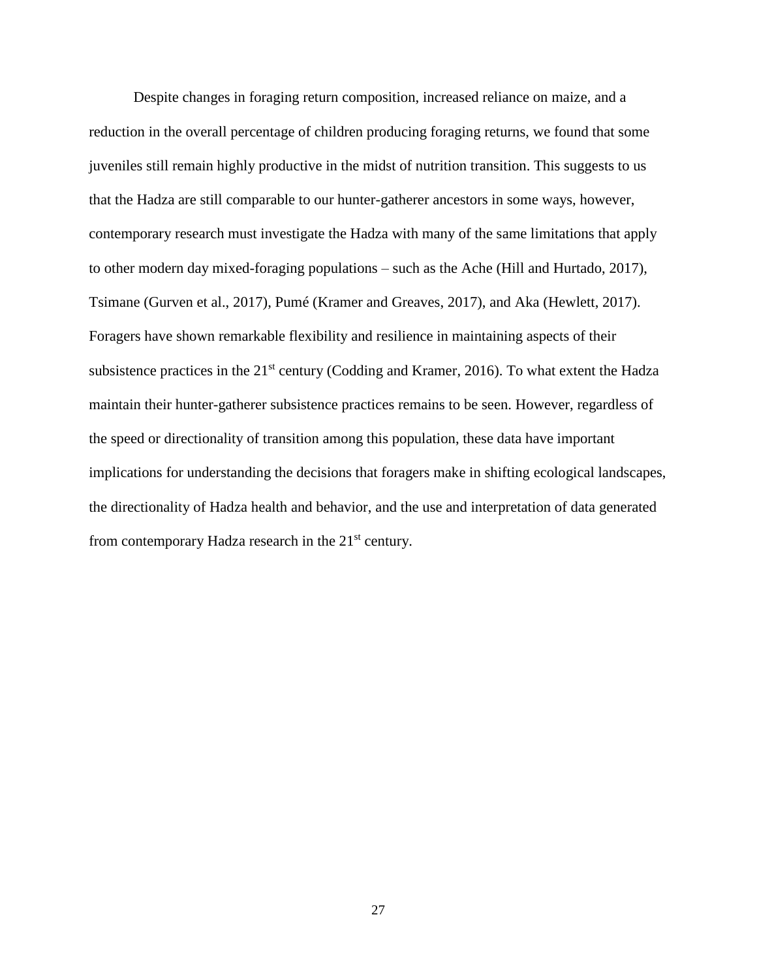Despite changes in foraging return composition, increased reliance on maize, and a reduction in the overall percentage of children producing foraging returns, we found that some juveniles still remain highly productive in the midst of nutrition transition. This suggests to us that the Hadza are still comparable to our hunter-gatherer ancestors in some ways, however, contemporary research must investigate the Hadza with many of the same limitations that apply to other modern day mixed-foraging populations – such as the Ache (Hill and Hurtado, 2017), Tsimane (Gurven et al., 2017), Pumé (Kramer and Greaves, 2017), and Aka (Hewlett, 2017). Foragers have shown remarkable flexibility and resilience in maintaining aspects of their subsistence practices in the  $21<sup>st</sup>$  century (Codding and Kramer, 2016). To what extent the Hadza maintain their hunter-gatherer subsistence practices remains to be seen. However, regardless of the speed or directionality of transition among this population, these data have important implications for understanding the decisions that foragers make in shifting ecological landscapes, the directionality of Hadza health and behavior, and the use and interpretation of data generated from contemporary Hadza research in the  $21<sup>st</sup>$  century.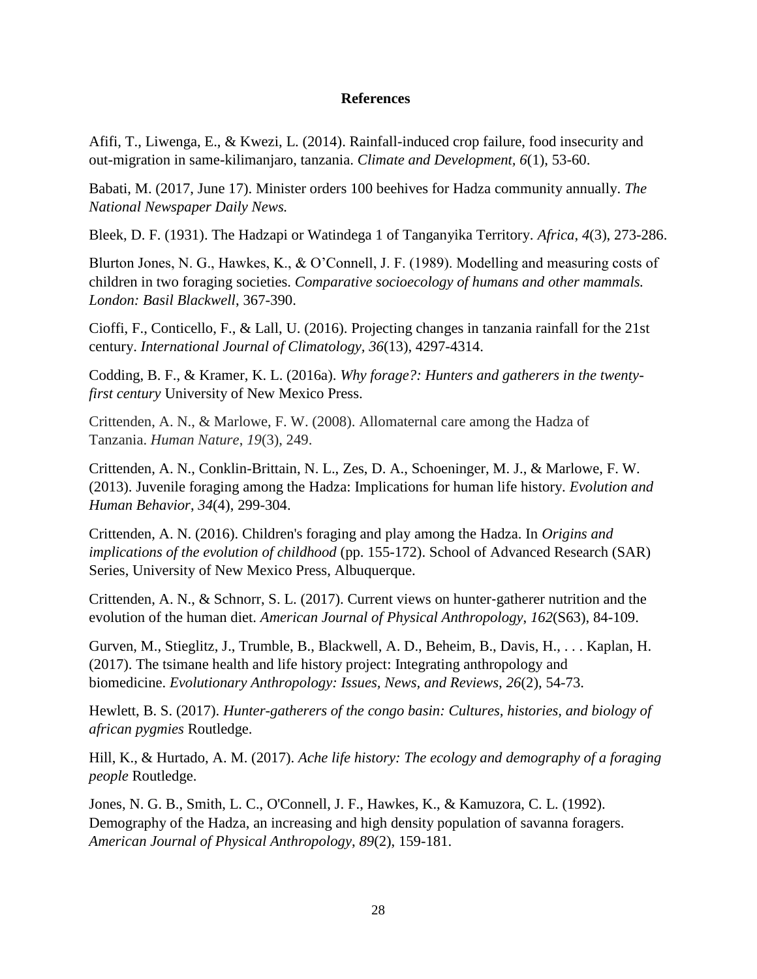# **References**

Afifi, T., Liwenga, E., & Kwezi, L. (2014). Rainfall-induced crop failure, food insecurity and out-migration in same-kilimanjaro, tanzania. *Climate and Development, 6*(1), 53-60.

Babati, M. (2017, June 17). Minister orders 100 beehives for Hadza community annually. *The National Newspaper Daily News.*

Bleek, D. F. (1931). The Hadzapi or Watindega 1 of Tanganyika Territory. *Africa*, *4*(3), 273-286.

Blurton Jones, N. G., Hawkes, K., & O'Connell, J. F. (1989). Modelling and measuring costs of children in two foraging societies. *Comparative socioecology of humans and other mammals. London: Basil Blackwell*, 367-390.

Cioffi, F., Conticello, F., & Lall, U. (2016). Projecting changes in tanzania rainfall for the 21st century. *International Journal of Climatology, 36*(13), 4297-4314.

Codding, B. F., & Kramer, K. L. (2016a). *Why forage?: Hunters and gatherers in the twentyfirst century* University of New Mexico Press.

Crittenden, A. N., & Marlowe, F. W. (2008). Allomaternal care among the Hadza of Tanzania. *Human Nature*, *19*(3), 249.

Crittenden, A. N., Conklin-Brittain, N. L., Zes, D. A., Schoeninger, M. J., & Marlowe, F. W. (2013). Juvenile foraging among the Hadza: Implications for human life history. *Evolution and Human Behavior*, *34*(4), 299-304.

Crittenden, A. N. (2016). Children's foraging and play among the Hadza. In *Origins and implications of the evolution of childhood* (pp. 155-172). School of Advanced Research (SAR) Series, University of New Mexico Press, Albuquerque.

Crittenden, A. N., & Schnorr, S. L. (2017). Current views on hunter‐gatherer nutrition and the evolution of the human diet. *American Journal of Physical Anthropology*, *162*(S63), 84-109.

Gurven, M., Stieglitz, J., Trumble, B., Blackwell, A. D., Beheim, B., Davis, H., . . . Kaplan, H. (2017). The tsimane health and life history project: Integrating anthropology and biomedicine. *Evolutionary Anthropology: Issues, News, and Reviews, 26*(2), 54-73.

Hewlett, B. S. (2017). *Hunter-gatherers of the congo basin: Cultures, histories, and biology of african pygmies* Routledge.

Hill, K., & Hurtado, A. M. (2017). *Ache life history: The ecology and demography of a foraging people* Routledge.

Jones, N. G. B., Smith, L. C., O'Connell, J. F., Hawkes, K., & Kamuzora, C. L. (1992). Demography of the Hadza, an increasing and high density population of savanna foragers. *American Journal of Physical Anthropology*, *89*(2), 159-181.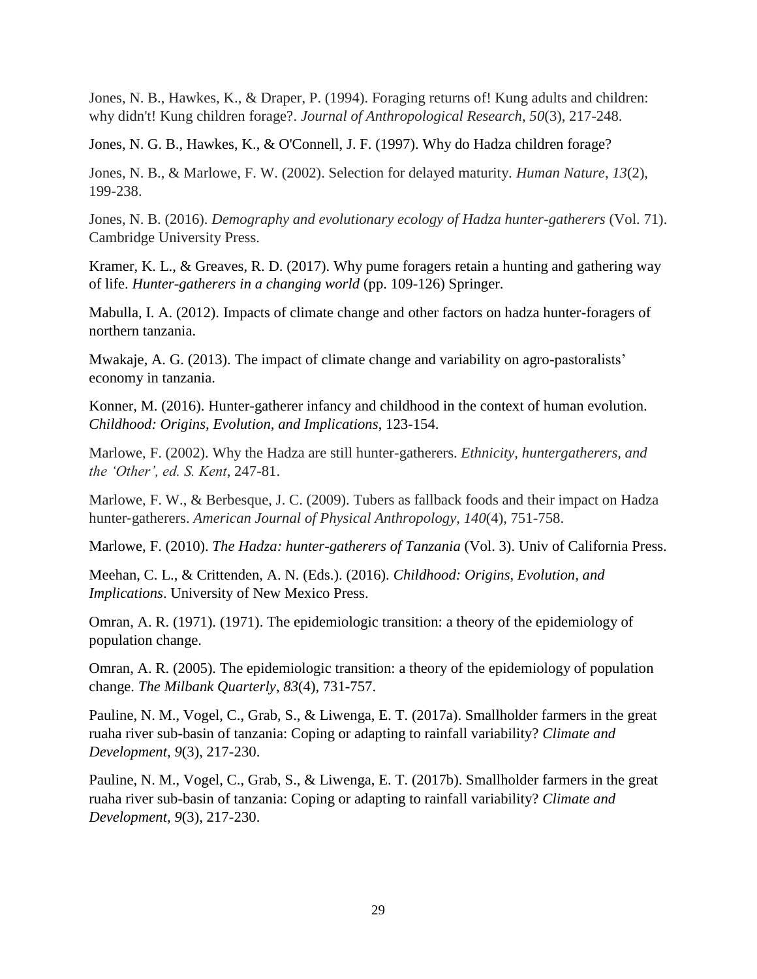Jones, N. B., Hawkes, K., & Draper, P. (1994). Foraging returns of! Kung adults and children: why didn't! Kung children forage?. *Journal of Anthropological Research*, *50*(3), 217-248.

Jones, N. G. B., Hawkes, K., & O'Connell, J. F. (1997). Why do Hadza children forage?

Jones, N. B., & Marlowe, F. W. (2002). Selection for delayed maturity. *Human Nature*, *13*(2), 199-238.

Jones, N. B. (2016). *Demography and evolutionary ecology of Hadza hunter-gatherers* (Vol. 71). Cambridge University Press.

Kramer, K. L., & Greaves, R. D. (2017). Why pume foragers retain a hunting and gathering way of life. *Hunter-gatherers in a changing world* (pp. 109-126) Springer.

Mabulla, I. A. (2012). Impacts of climate change and other factors on hadza hunter-foragers of northern tanzania.

Mwakaje, A. G. (2013). The impact of climate change and variability on agro-pastoralists' economy in tanzania.

Konner, M. (2016). Hunter-gatherer infancy and childhood in the context of human evolution. *Childhood: Origins, Evolution, and Implications*, 123-154.

Marlowe, F. (2002). Why the Hadza are still hunter-gatherers. *Ethnicity, huntergatherers, and the 'Other', ed. S. Kent*, 247-81.

Marlowe, F. W., & Berbesque, J. C. (2009). Tubers as fallback foods and their impact on Hadza hunter‐gatherers. *American Journal of Physical Anthropology*, *140*(4), 751-758.

Marlowe, F. (2010). *The Hadza: hunter-gatherers of Tanzania* (Vol. 3). Univ of California Press.

Meehan, C. L., & Crittenden, A. N. (Eds.). (2016). *Childhood: Origins, Evolution, and Implications*. University of New Mexico Press.

Omran, A. R. (1971). (1971). The epidemiologic transition: a theory of the epidemiology of population change.

Omran, A. R. (2005). The epidemiologic transition: a theory of the epidemiology of population change. *The Milbank Quarterly*, *83*(4), 731-757.

Pauline, N. M., Vogel, C., Grab, S., & Liwenga, E. T. (2017a). Smallholder farmers in the great ruaha river sub-basin of tanzania: Coping or adapting to rainfall variability? *Climate and Development, 9*(3), 217-230.

Pauline, N. M., Vogel, C., Grab, S., & Liwenga, E. T. (2017b). Smallholder farmers in the great ruaha river sub-basin of tanzania: Coping or adapting to rainfall variability? *Climate and Development, 9*(3), 217-230.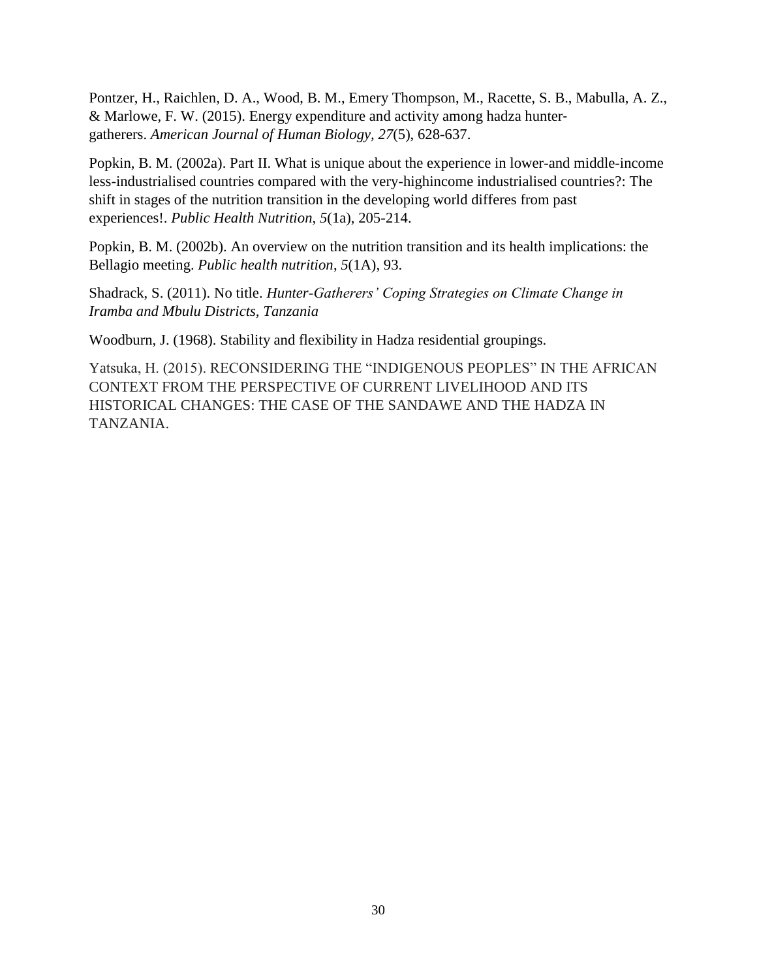Pontzer, H., Raichlen, D. A., Wood, B. M., Emery Thompson, M., Racette, S. B., Mabulla, A. Z., & Marlowe, F. W. (2015). Energy expenditure and activity among hadza hunter‐ gatherers. *American Journal of Human Biology, 27*(5), 628-637.

Popkin, B. M. (2002a). Part II. What is unique about the experience in lower-and middle-income less-industrialised countries compared with the very-highincome industrialised countries?: The shift in stages of the nutrition transition in the developing world differes from past experiences!. *Public Health Nutrition*, *5*(1a), 205-214.

Popkin, B. M. (2002b). An overview on the nutrition transition and its health implications: the Bellagio meeting. *Public health nutrition*, *5*(1A), 93.

Shadrack, S. (2011). No title. *Hunter-Gatherers' Coping Strategies on Climate Change in Iramba and Mbulu Districts, Tanzania*

Woodburn, J. (1968). Stability and flexibility in Hadza residential groupings.

Yatsuka, H. (2015). RECONSIDERING THE "INDIGENOUS PEOPLES" IN THE AFRICAN CONTEXT FROM THE PERSPECTIVE OF CURRENT LIVELIHOOD AND ITS HISTORICAL CHANGES: THE CASE OF THE SANDAWE AND THE HADZA IN TANZANIA.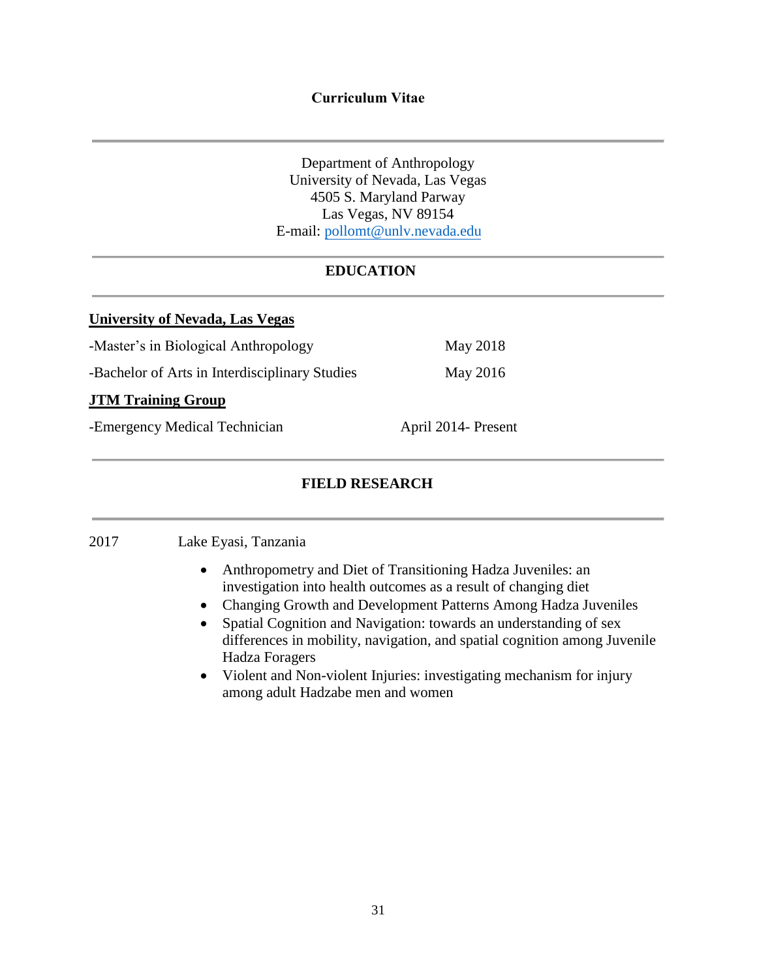Department of Anthropology University of Nevada, Las Vegas 4505 S. Maryland Parway Las Vegas, NV 89154 E-mail: [pollomt@unlv.nevada.edu](mailto:pollomt@unlv.nevada.edu)

# **EDUCATION**

**University of Nevada, Las Vegas** 

-Master's in Biological Anthropology May 2018

-Bachelor of Arts in Interdisciplinary Studies May 2016

# **JTM Training Group**

-Emergency Medical Technician April 2014- Present

# **FIELD RESEARCH**

# 2017 Lake Eyasi, Tanzania

- Anthropometry and Diet of Transitioning Hadza Juveniles: an investigation into health outcomes as a result of changing diet
- Changing Growth and Development Patterns Among Hadza Juveniles
- Spatial Cognition and Navigation: towards an understanding of sex differences in mobility, navigation, and spatial cognition among Juvenile Hadza Foragers
- Violent and Non-violent Injuries: investigating mechanism for injury among adult Hadzabe men and women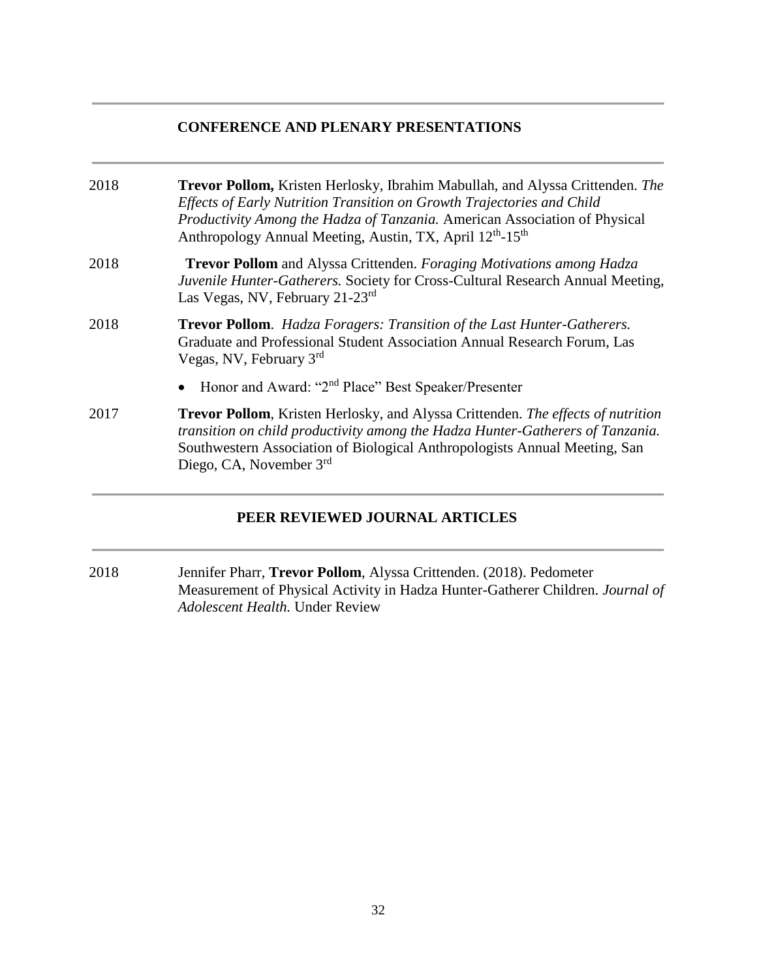# **CONFERENCE AND PLENARY PRESENTATIONS**

| 2018 | <b>Trevor Pollom, Kristen Herlosky, Ibrahim Mabullah, and Alyssa Crittenden. The</b><br>Effects of Early Nutrition Transition on Growth Trajectories and Child<br>Productivity Among the Hadza of Tanzania. American Association of Physical<br>Anthropology Annual Meeting, Austin, TX, April 12 <sup>th</sup> -15 <sup>th</sup> |
|------|-----------------------------------------------------------------------------------------------------------------------------------------------------------------------------------------------------------------------------------------------------------------------------------------------------------------------------------|
| 2018 | Trevor Pollom and Alyssa Crittenden. Foraging Motivations among Hadza<br><i>Juvenile Hunter-Gatherers.</i> Society for Cross-Cultural Research Annual Meeting,<br>Las Vegas, NV, February 21-23 <sup>rd</sup>                                                                                                                     |
| 2018 | <b>Trevor Pollom.</b> Hadza Foragers: Transition of the Last Hunter-Gatherers.<br>Graduate and Professional Student Association Annual Research Forum, Las<br>Vegas, NV, February 3rd                                                                                                                                             |
|      | Honor and Award: "2 <sup>nd</sup> Place" Best Speaker/Presenter<br>$\bullet$                                                                                                                                                                                                                                                      |
| 2017 | <b>Trevor Pollom, Kristen Herlosky, and Alyssa Crittenden.</b> The effects of nutrition<br>transition on child productivity among the Hadza Hunter-Gatherers of Tanzania.<br>Southwestern Association of Biological Anthropologists Annual Meeting, San<br>Diego, CA, November $3rd$                                              |

# **PEER REVIEWED JOURNAL ARTICLES**

2018 Jennifer Pharr, **Trevor Pollom**, Alyssa Crittenden. (2018). Pedometer Measurement of Physical Activity in Hadza Hunter-Gatherer Children. *Journal of Adolescent Health.* Under Review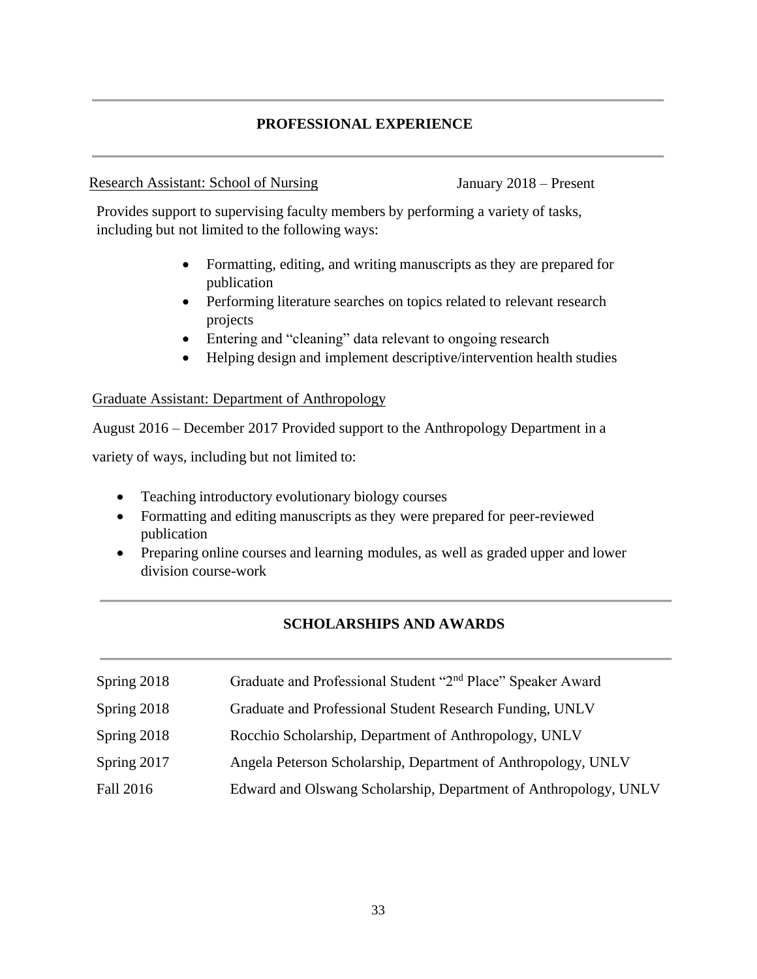# **PROFESSIONAL EXPERIENCE**

# Research Assistant: School of Nursing January 2018 – Present

Provides support to supervising faculty members by performing a variety of tasks, including but not limited to the following ways:

- Formatting, editing, and writing manuscripts as they are prepared for publication
- Performing literature searches on topics related to relevant research projects
- Entering and "cleaning" data relevant to ongoing research
- Helping design and implement descriptive/intervention health studies

# Graduate Assistant: Department of Anthropology

August 2016 – December 2017 Provided support to the Anthropology Department in a

variety of ways, including but not limited to:

- Teaching introductory evolutionary biology courses
- Formatting and editing manuscripts as they were prepared for peer-reviewed publication
- Preparing online courses and learning modules, as well as graded upper and lower division course-work

# **SCHOLARSHIPS AND AWARDS**

| Spring 2018 | Graduate and Professional Student "2 <sup>nd</sup> Place" Speaker Award |
|-------------|-------------------------------------------------------------------------|
| Spring 2018 | Graduate and Professional Student Research Funding, UNLV                |
| Spring 2018 | Rocchio Scholarship, Department of Anthropology, UNLV                   |
| Spring 2017 | Angela Peterson Scholarship, Department of Anthropology, UNLV           |
| Fall 2016   | Edward and Olswang Scholarship, Department of Anthropology, UNLV        |